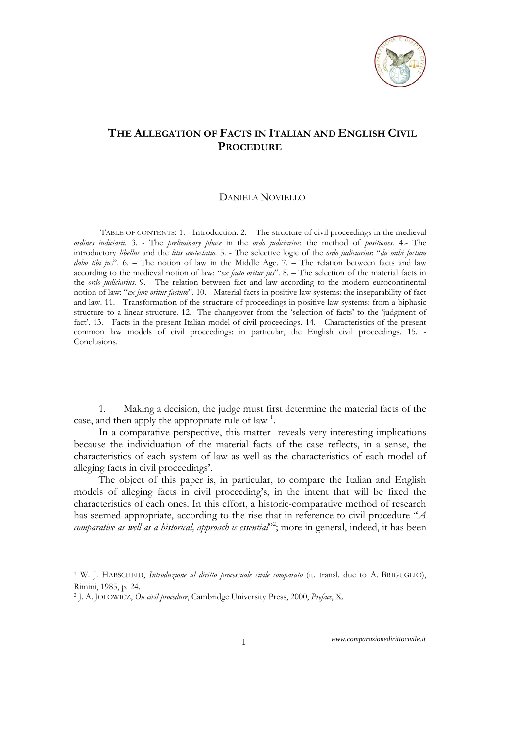

## **THE ALLEGATION OF FACTS IN ITALIAN AND ENGLISH CIVIL PROCEDURE**

## DANIELA NOVIELLO

TABLE OF CONTENTS: 1. - Introduction. 2. – The structure of civil proceedings in the medieval *ordines iudiciarii*. 3. - The *preliminary phase* in the *ordo judiciarius*: the method of *positiones*. 4.- The introductory *libellus* and the *litis contestatio*. 5. - The selective logic of the *ordo judiciarius*: "*da mihi factum dabo tibi jus*". 6. – The notion of law in the Middle Age. 7. – The relation between facts and law according to the medieval notion of law: "*ex facto oritur jus*". 8. – The selection of the material facts in the *ordo judiciarius*. 9. - The relation between fact and law according to the modern eurocontinental notion of law: "*ex jure oritur factum*". 10. - Material facts in positive law systems: the inseparability of fact and law. 11. - Transformation of the structure of proceedings in positive law systems: from a biphasic structure to a linear structure. 12.- The changeover from the 'selection of facts' to the 'judgment of fact'. 13. - Facts in the present Italian model of civil proceedings. 14. - Characteristics of the present common law models of civil proceedings: in particular, the English civil proceedings. 15. - Conclusions.

1. Making a decision, the judge must first determine the material facts of the case, and then apply the appropriate rule of law<sup>1</sup>.

In a comparative perspective, this matter reveals very interesting implications because the individuation of the material facts of the case reflects, in a sense, the characteristics of each system of law as well as the characteristics of each model of alleging facts in civil proceedings'.

The object of this paper is, in particular, to compare the Italian and English models of alleging facts in civil proceeding's, in the intent that will be fixed the characteristics of each ones. In this effort, a historic-comparative method of research has seemed appropriate, according to the rise that in reference to civil procedure "*A*  comparative as well as a historical, approach is essential<sup>22</sup>; more in general, indeed, it has been

1

<sup>1</sup> W. J. HABSCHEID, *Introduzione al diritto processuale civile comparato* (it. transl. due to A. BRIGUGLIO), Rimini, 1985, p. 24.

<sup>2</sup> J. A. JOLOWICZ, *On civil procedure*, Cambridge University Press, 2000, *Preface*, X.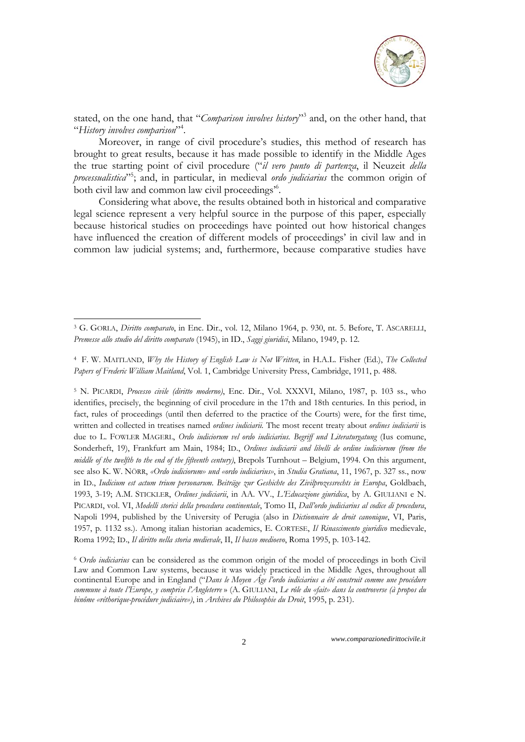

stated, on the one hand, that "*Comparison involves history*"3 and, on the other hand, that "*History involves comparison*"4 .

Moreover, in range of civil procedure's studies, this method of research has brought to great results, because it has made possible to identify in the Middle Ages the true starting point of civil procedure ("*il vero punto di partenza*, il Neuzeit *della processualistica*"5 ; and, in particular, in medieval *ordo judiciarius* the common origin of both civil law and common law civil proceedings<sup>56</sup>.

Considering what above, the results obtained both in historical and comparative legal science represent a very helpful source in the purpose of this paper, especially because historical studies on proceedings have pointed out how historical changes have influenced the creation of different models of proceedings' in civil law and in common law judicial systems; and, furthermore, because comparative studies have

1

<sup>3</sup> G. GORLA, *Diritto comparato*, in Enc. Dir., vol. 12, Milano 1964, p. 930, nt. 5. Before, T. ASCARELLI, *Premesse allo studio del diritto comparato* (1945), in ID., *Saggi giuridici*, Milano, 1949, p. 12.

<sup>4</sup> F. W. MAITLAND, *Why the History of English Law is Not Written*, in H.A.L. Fisher (Ed.), *The Collected Papers of Frederic William Maitland*, Vol. 1, Cambridge University Press, Cambridge, 1911, p. 488.

<sup>5</sup> N. PICARDI, *Processo civile (diritto moderno)*, Enc. Dir., Vol. XXXVI, Milano, 1987, p. 103 ss., who identifies, precisely, the beginning of civil procedure in the 17th and 18th centuries. In this period, in fact, rules of proceedings (until then deferred to the practice of the Courts) were, for the first time, written and collected in treatises named *ordines iudiciarii.* The most recent treaty about *ordines iudiciarii* is due to L. FOWLER MAGERL, *Ordo iudiciorum vel ordo iudiciarius. Begriff und Literaturgatung* (Ius comune, Sonderheft, 19), Frankfurt am Main, 1984; ID., *Ordines iudiciarii and libelli de ordine iudiciorum (from the middle of the twelfth to the end of the fifteenth century)*, Brepols Turnhout – Belgium, 1994. On this argument, see also K. W. NÖRR, *«Ordo iudiciorum» und «ordo iudiciarius»*, in *Studia Gratiana*, 11, 1967, p. 327 ss., now in ID., *Iudicium est actum trium personarum. Beiträge zur Geshichte des Zivilprozessrechts in Europa*, Goldbach, 1993, 3-19; A.M. STICKLER, *Ordines judiciarii*, in AA. VV., *L'Educazione giuridica*, by A. GIULIANI e N. PICARDI, vol. VI, *Modelli storici della procedura continentale*, Tomo II, *Dall'ordo judiciarius al codice di procedura*, Napoli 1994, published by the University of Perugia (also in *Dictionnaire de droit canonique*, VI, Paris, 1957, p. 1132 ss.). Among italian historian academics, E. CORTESE, *Il Rinascimento giuridico* medievale, Roma 1992; ID., *Il diritto nella storia medievale*, II, *Il basso medioevo*, Roma 1995, p. 103-142.

<sup>6</sup> O*rdo iudiciarius* can be considered as the common origin of the model of proceedings in both Civil Law and Common Law systems, because it was widely practiced in the Middle Ages, throughout all continental Europe and in England ("*Dans le Moyen Âge l'ordo iudiciarius a été construit comme une procédure commune à toute l'Europe, y comprise l'Angleterre* » (A. GIULIANI, *Le rôle du «fait» dans la controverse (à propos du binôme «réthorique-procédure judiciaire»)*, in *Archives du Philosophie du Droit*, 1995, p. 231).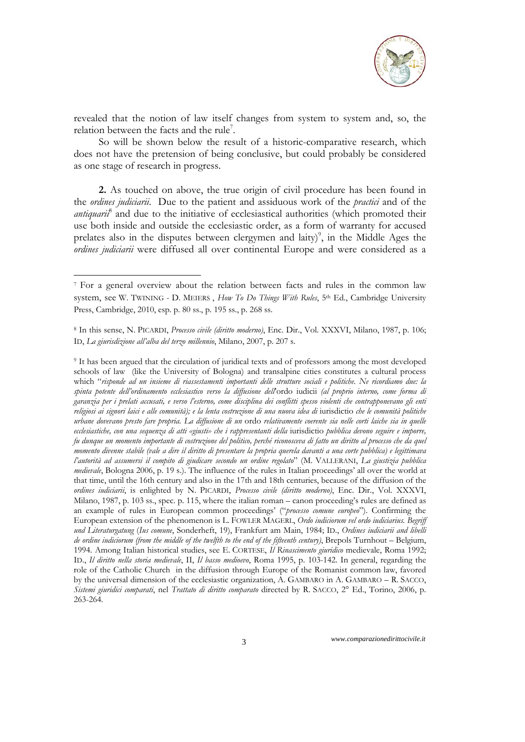

revealed that the notion of law itself changes from system to system and, so, the relation between the facts and the rule<sup>7</sup>.

So will be shown below the result of a historic-comparative research, which does not have the pretension of being conclusive, but could probably be considered as one stage of research in progress.

**2.** As touched on above, the true origin of civil procedure has been found in the *ordines judiciarii*. Due to the patient and assiduous work of the *practici* and of the antiquarii<sup>8</sup> and due to the initiative of ecclesiastical authorities (which promoted their use both inside and outside the ecclesiastic order, as a form of warranty for accused prelates also in the disputes between clergymen and laity)<sup>9</sup>, in the Middle Ages the *ordines judiciarii* were diffused all over continental Europe and were considered as a

1

<sup>7</sup> For a general overview about the relation between facts and rules in the common law system, see W. TWINING - D. MEIERS , *How To Do Things With Rules*, 5th Ed., Cambridge University Press, Cambridge, 2010, esp. p. 80 ss., p. 195 ss., p. 268 ss.

<sup>8</sup> In this sense, N. PICARDI, *Processo civile (diritto moderno)*, Enc. Dir., Vol. XXXVI, Milano, 1987, p. 106; ID, *La giurisdizione all'alba del terzo millennio*, Milano, 2007, p. 207 s.

<sup>9</sup> It has been argued that the circulation of juridical texts and of professors among the most developed schools of law (like the University of Bologna) and transalpine cities constitutes a cultural process which "*risponde ad un insieme di riassestamenti importanti delle strutture sociali e politiche. Ne ricordiamo due: la spinta potente dell'ordinamento ecclesiastico verso la diffusione dell*'ordo iudicii *(al proprio interno, come forma di garanzia per i prelati accusati, e verso l'esterno, come disciplina dei conflitti spesso violenti che contrapponevano gli enti religiosi ai signori laici e alle comunità); e la lenta costruzione di una nuova idea di* iurisdictio *che le comunità politiche urbane dovevano presto fare propria. La diffusione di un* ordo *relativamente coerente sia nelle corti laiche sia in quelle ecclesiastiche, con una sequenza di atti «giusti» che i rappresentanti della* iurisdictio *pubblica devono seguire e imporre, fu dunque un momento importante di costruzione del politico, perché riconosceva di fatto un diritto al processo che da quel momento divenne stabile (vale a dire il diritto di presentare la propria querela davanti a una corte pubblica) e legittimava l'autorità ad assumersi il compito di giudicare secondo un ordine regolato*" (M. VALLERANI, *La giustizia pubblica medievale*, Bologna 2006, p. 19 s.). The influence of the rules in Italian proceedings' all over the world at that time, until the 16th century and also in the 17th and 18th centuries, because of the diffusion of the *ordines iudiciarii*, is enlighted by N. PICARDI, *Processo civile (diritto moderno)*, Enc. Dir., Vol. XXXVI, Milano, 1987, p. 103 ss., spec. p. 115, where the italian roman – canon proceeding's rules are defined as an example of rules in European common proceedings' ("*processo comune europeo*"). Confirming the European extension of the phenomenon is L. FOWLER MAGERL, *Ordo iudiciorum vel ordo iudiciarius. Begriff und Literaturgatung* (*Ius comune*, Sonderheft, 19), Frankfurt am Main, 1984; ID., *Ordines iudiciarii and libelli de ordine iudiciorum (from the middle of the twelfth to the end of the fifteenth century)*, Brepols Turnhout – Belgium, 1994. Among Italian historical studies, see E. CORTESE, *Il Rinascimento giuridico* medievale, Roma 1992; ID., *Il diritto nella storia medievale*, II, *Il basso medioevo*, Roma 1995, p. 103-142. In general, regarding the role of the Catholic Church in the diffusion through Europe of the Romanist common law, favored by the universal dimension of the ecclesiastic organization, A. GAMBARO in A. GAMBARO – R. SACCO, *Sistemi giuridici comparati*, nel *Trattato di diritto comparato* directed by R. SACCO, 2° Ed., Torino, 2006, p. 263-264.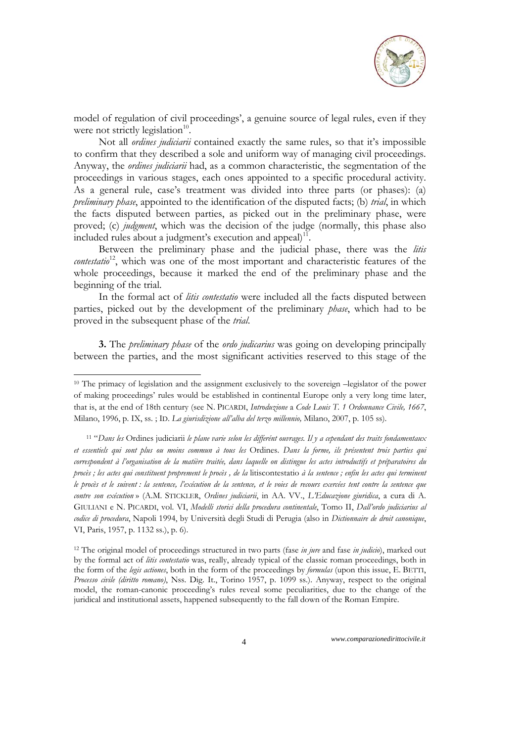

model of regulation of civil proceedings', a genuine source of legal rules, even if they were not strictly legislation $10$ .

Not all *ordines judiciarii* contained exactly the same rules, so that it's impossible to confirm that they described a sole and uniform way of managing civil proceedings. Anyway, the *ordines judiciarii* had, as a common characteristic, the segmentation of the proceedings in various stages, each ones appointed to a specific procedural activity. As a general rule, case's treatment was divided into three parts (or phases): (a) *preliminary phase*, appointed to the identification of the disputed facts; (b) *trial*, in which the facts disputed between parties, as picked out in the preliminary phase, were proved; (c) *judgment*, which was the decision of the judge (normally, this phase also included rules about a judgment's execution and appeal $1$ <sup>11</sup>.

Between the preliminary phase and the judicial phase, there was the *litis contestatio*<sup>12</sup>, which was one of the most important and characteristic features of the whole proceedings, because it marked the end of the preliminary phase and the beginning of the trial.

In the formal act of *litis contestatio* were included all the facts disputed between parties, picked out by the development of the preliminary *phase*, which had to be proved in the subsequent phase of the *trial*.

**3.** The *preliminary phase* of the *ordo judicarius* was going on developing principally between the parties, and the most significant activities reserved to this stage of the

<sup>&</sup>lt;sup>10</sup> The primacy of legislation and the assignment exclusively to the sovereign –legislator of the power of making proceedings' rules would be established in continental Europe only a very long time later, that is, at the end of 18th century (see N. PICARDI, *Introduzione* a *Code Louis T. 1 Ordonnance Civile, 1667*, Milano, 1996, p. IX, ss. ; ID. *La giurisdizione all'alba del terzo millennio,* Milano, 2007, p. 105 ss).

<sup>11 &</sup>quot;*Dans les* Ordines judiciarii *le plane varie selon les differént ouvrages. Il y a cependant des traits fondamentaux et essentiels qui sont plus ou moins commun à tous les* Ordines. *Dans la forme, ils présentent trois parties qui correspondent à l'organisation de la matière traitée, dans laquelle on distingue les actes introductifs et préparatoires du procès ; les actes qui constituent proprement le procès , de la* litiscontestatio *à la sentence ; enfin les actes qui terminent le procès et le suivent : la sentence, l'exécution de la sentence, et le voies de recours exercées tent contre la sentence que contre son exécution* » (A.M. STICKLER, *Ordines judiciarii*, in AA. VV., *L'Educazione giuridica*, a cura di A. GIULIANI e N. PICARDI, vol. VI, *Modelli storici della procedura continentale*, Tomo II, *Dall'ordo judiciarius al codice di procedura*, Napoli 1994, by Università degli Studi di Perugia (also in *Dictionnaire de droit canonique*, VI, Paris, 1957, p. 1132 ss.), p. 6).

<sup>12</sup> The original model of proceedings structured in two parts (fase *in jure* and fase *in judicio*), marked out by the formal act of *litis contestatio* was, really, already typical of the classic roman proceedings, both in the form of the *legis actiones*, both in the form of the proceedings by *formulas* (upon this issue, E. BETTI, *Processo civile (diritto romano)*, Nss. Dig. It., Torino 1957, p. 1099 ss.). Anyway, respect to the original model, the roman-canonic proceeding's rules reveal some peculiarities, due to the change of the juridical and institutional assets, happened subsequently to the fall down of the Roman Empire.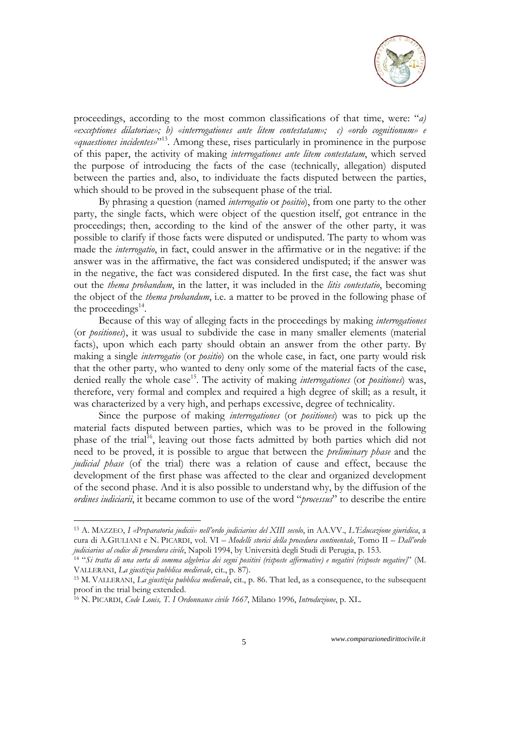

proceedings, according to the most common classifications of that time, were: "*a) «exceptiones dilatoriae»; b) «interrogationes ante litem contestatam»; c) «ordo cognitionum» e «quaestiones incidentes»*"13. Among these, rises particularly in prominence in the purpose of this paper, the activity of making *interrogationes ante litem contestatam*, which served the purpose of introducing the facts of the case (technically, allegation) disputed between the parties and, also, to individuate the facts disputed between the parties, which should to be proved in the subsequent phase of the trial.

By phrasing a question (named *interrogatio* or *positio*), from one party to the other party, the single facts, which were object of the question itself, got entrance in the proceedings; then, according to the kind of the answer of the other party, it was possible to clarify if those facts were disputed or undisputed. The party to whom was made the *interrogatio*, in fact, could answer in the affirmative or in the negative: if the answer was in the affirmative, the fact was considered undisputed; if the answer was in the negative, the fact was considered disputed. In the first case, the fact was shut out the *thema probandum*, in the latter, it was included in the *litis contestatio*, becoming the object of the *thema probandum*, i.e. a matter to be proved in the following phase of the proceedings $^{14}$ .

Because of this way of alleging facts in the proceedings by making *interrogationes* (or *positiones*), it was usual to subdivide the case in many smaller elements (material facts), upon which each party should obtain an answer from the other party. By making a single *interrogatio* (or *positio*) on the whole case, in fact, one party would risk that the other party, who wanted to deny only some of the material facts of the case, denied really the whole case<sup>15</sup>. The activity of making *interrogationes* (or *positiones*) was, therefore, very formal and complex and required a high degree of skill; as a result, it was characterized by a very high, and perhaps excessive, degree of technicality.

Since the purpose of making *interrogationes* (or *positiones*) was to pick up the material facts disputed between parties, which was to be proved in the following phase of the trial<sup>16</sup>, leaving out those facts admitted by both parties which did not need to be proved, it is possible to argue that between the *preliminary phase* and the *judicial phase* (of the trial) there was a relation of cause and effect, because the development of the first phase was affected to the clear and organized development of the second phase. And it is also possible to understand why, by the diffusion of the *ordines iudiciarii*, it became common to use of the word "*processus*" to describe the entire

<sup>13</sup> A. MAZZEO, *I «Preparatoria judicii» nell'ordo judiciarius del XIII secolo*, in AA.VV., *L'Educazione giuridica*, a cura di A.GIULIANI e N. PICARDI, vol. VI – *Modelli storici della procedura continentale*, Tomo II – *Dall'ordo* 

<sup>&</sup>lt;sup>14</sup> "Si tratta di una sorta di somma algebrica dei segni positivi (risposte affermative) e negativi (risposte negative)" (M.<br>VALLERANI, La giustizia pubblica medievale, cit., p. 87).

<sup>&</sup>lt;sup>15</sup> M. VALLERANI, *La giustizia pubblica medievale*, cit., p. 86. That led, as a consequence, to the subsequent proof in the trial being extended.

<sup>16</sup> N. PICARDI, *Code Louis, T. I Ordonnance civile 1667*, Milano 1996, *Introduzione*, p. XL.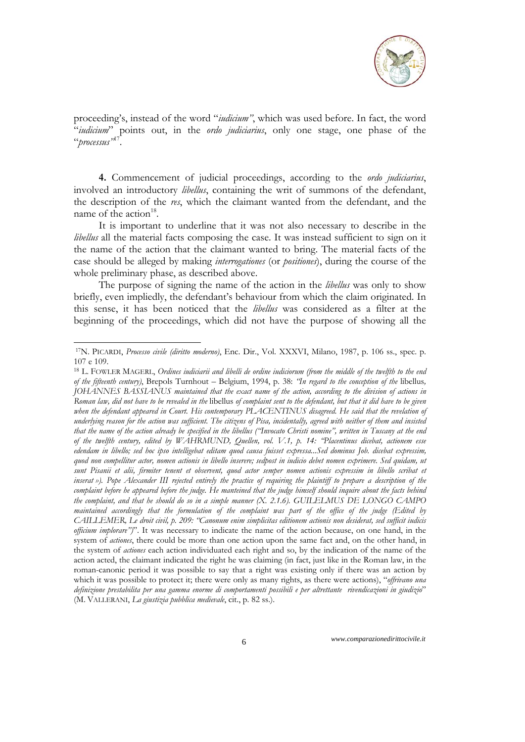

proceeding's, instead of the word "*iudicium"*, which was used before. In fact, the word "*iudicium*" points out, in the *ordo judiciarius*, only one stage, one phase of the "*processus"*17.

**4.** Commencement of judicial proceedings, according to the *ordo judiciarius*, involved an introductory *libellus*, containing the writ of summons of the defendant, the description of the *res*, which the claimant wanted from the defendant, and the name of the action $18$ .

It is important to underline that it was not also necessary to describe in the *libellus* all the material facts composing the case. It was instead sufficient to sign on it the name of the action that the claimant wanted to bring. The material facts of the case should be alleged by making *interrogationes* (or *positiones*), during the course of the whole preliminary phase, as described above.

The purpose of signing the name of the action in the *libellus* was only to show briefly, even impliedly, the defendant's behaviour from which the claim originated. In this sense, it has been noticed that the *libellus* was considered as a filter at the beginning of the proceedings, which did not have the purpose of showing all the

<sup>17</sup>N. PICARDI, *Processo civile (diritto moderno)*, Enc. Dir., Vol. XXXVI, Milano, 1987, p. 106 ss., spec. p. 107 e 109.

<sup>18</sup> L. FOWLER MAGERL, *Ordines iudiciarii and libelli de ordine iudiciorum (from the middle of the twelfth to the end of the fifteenth century)*, Brepols Turnhout – Belgium, 1994, p. 38: *"In regard to the conception of the* libellus*, JOHANNES BASSIANUS maintained that the exact name of the action, according to the division of actions in Roman law, did not have to be revealed in the* libellus *of complaint sent to the defendant, but that it did have to be given*  when the defendant appeared in Court. His contemporary PLACENTINUS disagreed. He said that the revelation of *underlying reason for the action was sufficient. The citizens of Pisa, incidentally, agreed with neither of them and insisted that the name of the action already be specified in the libellus ("Invocato Christi nomine", written in Tuscany at the end of the twelfth century, edited by WAHRMUND, Quellen, vol. V.1, p. 14: "Placentinus dicebat, actionem esse edendam in libello; sed hoc ipso intelligebat editam quod causa fuisset expressa...Sed dominus Job. dicebat expressim, quod non compellitur actor, nomen actionis in libello inserere; sedpost in iudicio debet nomen exprimere. Sed quidam, ut sunt Pisanii et alii, firmiter tenent et observent, quod actor semper nomen actionis expressim in libello scribat et inserat »). Pope Alexander III rejected entirely the practice of requiring the plaintiff to prepare a description of the*  complaint before he appeared before the judge. He manteined that the judge himself should inquire about the facts behind *the complaint, and that he should do so in a simple manner (X. 2.1.6). GUILELMUS DE LONGO CAMPO maintained accordingly that the formulation of the complaint was part of the office of the judge (Edited by CAILLEMER, Le droit civil, p. 209: "Canonum enim simplicitas editionem actionis non desiderat, sed sufficit iudicis officium implorare")*". It was necessary to indicate the name of the action because, on one hand, in the system of *actiones*, there could be more than one action upon the same fact and, on the other hand, in the system of *actiones* each action individuated each right and so, by the indication of the name of the action acted, the claimant indicated the right he was claiming (in fact, just like in the Roman law, in the roman-canonic period it was possible to say that a right was existing only if there was an action by which it was possible to protect it; there were only as many rights, as there were actions), "*offrivano una definizione prestabilita per una gamma enorme di comportamenti possibili e per altrettante rivendicazioni in giudizio*" (M. VALLERANI, *La giustizia pubblica medievale*, cit., p. 82 ss.).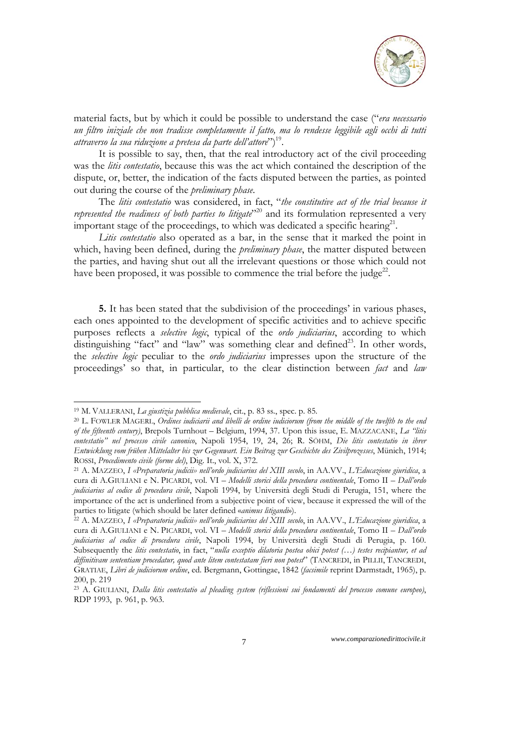

material facts, but by which it could be possible to understand the case ("*era necessario un filtro iniziale che non tradisse completamente il fatto, ma lo rendesse leggibile agli occhi di tutti attraverso la sua riduzione a pretesa da parte dell'attore*")19.

It is possible to say, then, that the real introductory act of the civil proceeding was the *litis contestatio*, because this was the act which contained the description of the dispute, or, better, the indication of the facts disputed between the parties, as pointed out during the course of the *preliminary phase*.

The *litis contestatio* was considered, in fact, "*the constitutive act of the trial because it represented the readiness of both parties to litigate*<sup>220</sup> and its formulation represented a very important stage of the proceedings, to which was dedicated a specific hearing<sup>21</sup>.

*Litis contestatio* also operated as a bar, in the sense that it marked the point in which, having been defined, during the *preliminary phase*, the matter disputed between the parties, and having shut out all the irrelevant questions or those which could not have been proposed, it was possible to commence the trial before the judge<sup>22</sup>.

**5.** It has been stated that the subdivision of the proceedings' in various phases, each ones appointed to the development of specific activities and to achieve specific purposes reflects a *selective logic*, typical of the *ordo judiciarius*, according to which distinguishing "fact" and "law" was something clear and defined<sup>23</sup>. In other words, the *selective logic* peculiar to the *ordo judiciarius* impresses upon the structure of the proceedings' so that, in particular, to the clear distinction between *fact* and *law*

<sup>&</sup>lt;sup>19</sup> M. VALLERANI, *La giustizia pubblica medievale*, cit., p. 83 ss., spec. p. 85.<br><sup>20</sup> L. FOWLER MAGERL, *Ordines iudiciarii and libelli de ordine iudiciorum (from the middle of the twelfth to the end of the fifteenth century)*, Brepols Turnhout – Belgium, 1994, 37. Upon this issue, E. MAZZACANE, *La "litis contestatio" nel processo civile canonico*, Napoli 1954, 19, 24, 26; R. SÖHM, *Die litis contestatio in ihrer Entwicklung vom frühen Mittelalter bis zur Gegenwart. Ein Beitrag zur Geschichte des Zivilprozesses*, Münich, 1914;

ROSSI, *Procedimento civile (forme del)*, Dig. It., vol. X, 372.<br><sup>21</sup> A. MAZZEO, I «Preparatoria judicii» nell'ordo judiciarius del XIII secolo, in AA.VV., *L'Educazione giuridica*, a cura di A.GIULIANI e N. PICARDI, vol. VI – *Modelli storici della procedura continentale*, Tomo II – *Dall'ordo judiciarius al codice di procedura civile*, Napoli 1994, by Università degli Studi di Perugia, 151, where the importance of the act is underlined from a subjective point of view, because it expressed the will of the parties to litigate (which should be later defined *«animus litigandi*»).

parties to litigate (which should be later defined «*animus litigandi*»). 22 A. MAZZEO, *I «Preparatoria judicii» nell'ordo judiciarius del XIII secolo*, in AA.VV., *L'Educazione giuridica*, a cura di A.GIULIANI e N. PICARDI, vol. VI – *Modelli storici della procedura continentale*, Tomo II – *Dall'ordo judiciarius al codice di procedura civile*, Napoli 1994, by Università degli Studi di Perugia, p. 160. Subsequently the *litis contestatio*, in fact, "*nulla exceptio dilatoria postea obici potest (…) testes recipiantur, et ad diffinitivam sententiam procedatur, quod ante litem contestatam fieri non potest*" (TANCREDI, in PILLII, TANCREDI, GRATIAE, *Libri de judiciorum ordine*, ed. Bergmann, Gottingae, 1842 (*facsimile* reprint Darmstadt, 1965), p. 200, p. 219

<sup>23</sup> A. GIULIANI, *Dalla litis contestatio al pleading system (riflessioni sui fondamenti del processo comune europeo)*, RDP 1993, p. 961, p. 963.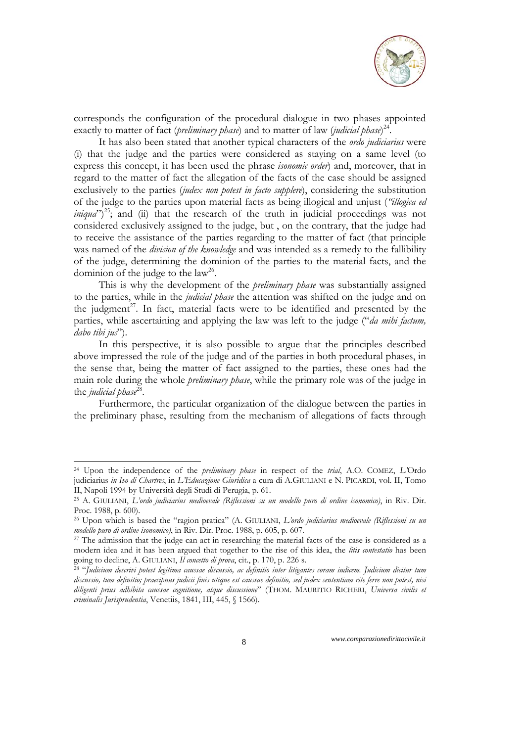

corresponds the configuration of the procedural dialogue in two phases appointed exactly to matter of fact (*preliminary phase*) and to matter of law (*judicial phase*) 24.

It has also been stated that another typical characters of the *ordo judiciarius* were (i) that the judge and the parties were considered as staying on a same level (to express this concept, it has been used the phrase *isonomic order*) and, moreover, that in regard to the matter of fact the allegation of the facts of the case should be assigned exclusively to the parties (*judex non potest in facto supplere*), considering the substitution of the judge to the parties upon material facts as being illogical and unjust (*"illogica ed iniqua*")<sup>25</sup>; and (ii) that the research of the truth in judicial proceedings was not considered exclusively assigned to the judge, but , on the contrary, that the judge had to receive the assistance of the parties regarding to the matter of fact (that principle was named of the *division of the knowledge* and was intended as a remedy to the fallibility of the judge, determining the dominion of the parties to the material facts, and the dominion of the judge to the  $law<sup>26</sup>$ .

This is why the development of the *preliminary phase* was substantially assigned to the parties, while in the *judicial phase* the attention was shifted on the judge and on the judgment<sup>27</sup>. In fact, material facts were to be identified and presented by the parties, while ascertaining and applying the law was left to the judge ("*da mihi factum, dabo tibi jus*").

In this perspective, it is also possible to argue that the principles described above impressed the role of the judge and of the parties in both procedural phases, in the sense that, being the matter of fact assigned to the parties, these ones had the main role during the whole *preliminary phase*, while the primary role was of the judge in the *judicial* phase<sup>28</sup>.

Furthermore, the particular organization of the dialogue between the parties in the preliminary phase, resulting from the mechanism of allegations of facts through

<sup>24</sup> Upon the independence of the *preliminary phase* in respect of the *trial*, A.O. COMEZ, *L'*Ordo judiciarius *in Ivo di Chartres*, in *L'Educazione Giuridica* a cura di A.GIULIANI e N. PICARDI, vol. II, Tomo II, Napoli 1994 by Università degli Studi di Perugia, p. 61. 25 A. GIULIANI, *L'ordo judiciarius medioevale (Riflessioni su un modello puro di ordine isonomico)*, in Riv. Dir.

Proc. 1988, p. 600).

<sup>26</sup> Upon which is based the "ragion pratica" (A. GIULIANI, *L'ordo judiciarius medioevale (Riflessioni su un modello puro di ordine isonomico*), in Riv. Dir. Proc. 1988, p. 605, p. 607.<br><sup>27</sup> The admission that the judge can act in researching the material facts of the case is considered as a

modern idea and it has been argued that together to the rise of this idea, the *litis contestatio* has been

<sup>&</sup>lt;sup>28</sup> "Judicium descrivi potest legitima caussae discussio, ac definitio inter litigantes coram iudicem. Judicium dicitur tum *discussio, tum definitio; praecipuus judicii finis utique est caussae definitio, sed judex sententiam rite ferre non potest, nisi diligenti prius adhibita caussae cognitione, atque discussione*" (THOM. MAURITIO RICHERI, *Universa civilis et criminalis Jurisprudentia*, Venetiis, 1841, III, 445, § 1566).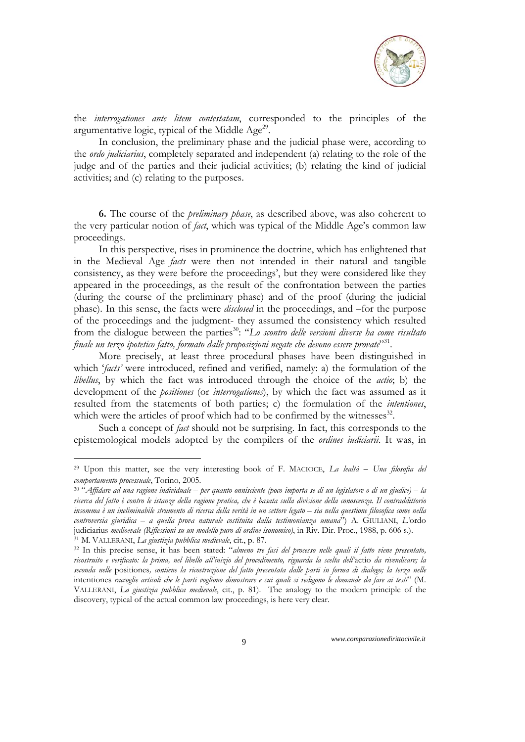

the *interrogationes ante litem contestatam*, corresponded to the principles of the argumentative logic, typical of the Middle Age<sup>29</sup>.

In conclusion, the preliminary phase and the judicial phase were, according to the *ordo judiciarius*, completely separated and independent (a) relating to the role of the judge and of the parties and their judicial activities; (b) relating the kind of judicial activities; and (c) relating to the purposes.

**6.** The course of the *preliminary phase*, as described above, was also coherent to the very particular notion of *fact*, which was typical of the Middle Age's common law proceedings.

In this perspective, rises in prominence the doctrine, which has enlightened that in the Medieval Age *facts* were then not intended in their natural and tangible consistency, as they were before the proceedings', but they were considered like they appeared in the proceedings, as the result of the confrontation between the parties (during the course of the preliminary phase) and of the proof (during the judicial phase). In this sense, the facts were *disclosed* in the proceedings, and –for the purpose of the proceedings and the judgment- they assumed the consistency which resulted from the dialogue between the parties<sup>30</sup>: "*Lo scontro delle versioni diverse ha come risultato finale un terzo ipotetico fatto, formato dalle proposizioni negate che devono essere provate*"<sup>31</sup>.

More precisely, at least three procedural phases have been distinguished in which '*facts'* were introduced, refined and verified, namely: a) the formulation of the *libellus*, by which the fact was introduced through the choice of the *actio*; b) the development of the *positiones* (or *interrogationes*), by which the fact was assumed as it resulted from the statements of both parties; c) the formulation of the *intentiones*, which were the articles of proof which had to be confirmed by the witnesses $^{32}$ .

Such a concept of *fact* should not be surprising. In fact, this corresponds to the epistemological models adopted by the compilers of the *ordines iudiciarii*. It was, in

<sup>29</sup> Upon this matter, see the very interesting book of F. MACIOCE, *La lealtà – Una filosofia del comportamento processuale*, Torino, 2005. 30 "*Affidare ad una ragione individuale – per quanto onnisciente (poco importa se di un legislatore o di un giudice) – la* 

*ricerca del fatto è contro le istanze della ragione pratica, che è basata sulla divisione della conoscenza. Il contraddittorio insomma è un ineliminabile strumento di ricerca della verità in un settore legato – sia nella questione filosofica come nella controversia giuridica – a quella prova naturale costituita dalla testimonianza umana*") A. GIULIANI, *L'*ordo judiciarius medioevale (Riflessioni su un modello puro di ordine isonomico), in Riv. Dir. Proc., 1988, p. 606 s.).<br><sup>31</sup> M. VALLERANI, *La giustizia pubblica medievale*, cit., p. 87.<br><sup>32</sup> In this precise sense, it has been

*ricostruito e verificato: la prima, nel libello all'inizio del procedimento, riguarda la scelta dell'*actio *da rivendicare; la seconda nelle* positiones*, contiene la ricostruzione del fatto presentata dalle parti in forma di dialogo; la terza nelle*  intentiones *raccoglie articoli che le parti vogliono dimostrare e sui quali si redigono le domande da fare ai testi*" (M. VALLERANI, *La giustizia pubblica medievale*, cit., p. 81). The analogy to the modern principle of the discovery, typical of the actual common law proceedings, is here very clear.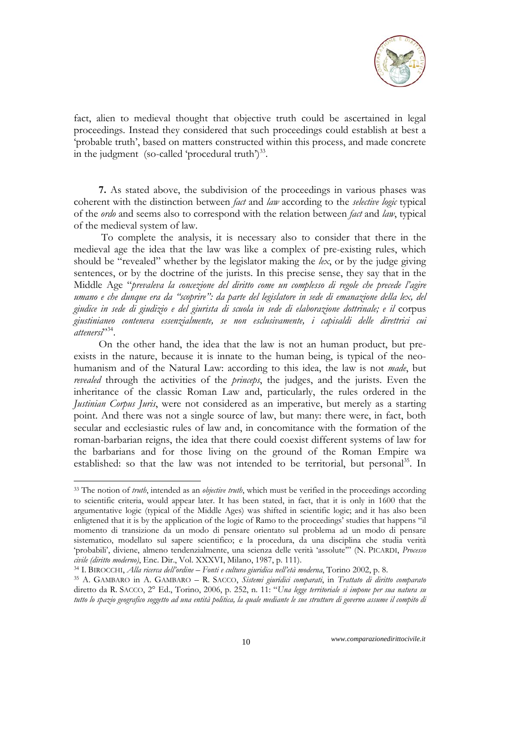

fact, alien to medieval thought that objective truth could be ascertained in legal proceedings. Instead they considered that such proceedings could establish at best a 'probable truth', based on matters constructed within this process, and made concrete in the judgment (so-called 'procedural truth') $^{33}$ .

**7.** As stated above, the subdivision of the proceedings in various phases was coherent with the distinction between *fact* and *law* according to the *selective logic* typical of the *ordo* and seems also to correspond with the relation between *fact* and *law*, typical of the medieval system of law.

 To complete the analysis, it is necessary also to consider that there in the medieval age the idea that the law was like a complex of pre-existing rules, which should be "revealed" whether by the legislator making the *lex*, or by the judge giving sentences, or by the doctrine of the jurists. In this precise sense, they say that in the Middle Age "*prevaleva la concezione del diritto come un complesso di regole che precede l'agire umano e che dunque era da "scoprire": da parte del legislatore in sede di emanazione della lex, del giudice in sede di giudizio e del giurista di scuola in sede di elaborazione dottrinale; e il* corpus *giustinianeo conteneva essenzialmente, se non esclusivamente, i capisaldi delle direttrici cui*  attenersi<sup>2,34</sup>.

On the other hand, the idea that the law is not an human product, but preexists in the nature, because it is innate to the human being, is typical of the neohumanism and of the Natural Law: according to this idea, the law is not *made*, but *revealed* through the activities of the *princeps*, the judges, and the jurists. Even the inheritance of the classic Roman Law and, particularly, the rules ordered in the *Justinian Corpus Juris*, were not considered as an imperative, but merely as a starting point. And there was not a single source of law, but many: there were, in fact, both secular and ecclesiastic rules of law and, in concomitance with the formation of the roman-barbarian reigns, the idea that there could coexist different systems of law for the barbarians and for those living on the ground of the Roman Empire wa established: so that the law was not intended to be territorial, but personal<sup>35</sup>. In

<sup>33</sup> The notion of *truth*, intended as an *objective truth*, which must be verified in the proceedings according to scientific criteria, would appear later. It has been stated, in fact, that it is only in 1600 that the argumentative logic (typical of the Middle Ages) was shifted in scientific logic; and it has also been enligtened that it is by the application of the logic of Ramo to the proceedings' studies that happens "il momento di transizione da un modo di pensare orientato sul problema ad un modo di pensare sistematico, modellato sul sapere scientifico; e la procedura, da una disciplina che studia verità 'probabili', diviene, almeno tendenzialmente, una scienza delle verità 'assolute'" (N. PICARDI, *Processo*  civile (diritto moderno), Enc. Dir., Vol. XXXVI, Milano, 1987, p. 111).<br><sup>34</sup> I. BIROCCHI, *Alla ricerca dell'ordine* – Fonti e cultura giuridica nell'età moderna, Torino 2002, p. 8.<br><sup>35</sup> A. GAMBARO in A. GAMBARO – R. SACCO

diretto da R. SACCO, 2° Ed., Torino, 2006, p. 252, n. 11: "*Una legge territoriale si impone per sua natura su tutto lo spazio geografico soggetto ad una entità politica, la quale mediante le sue strutture di governo assume il compito di*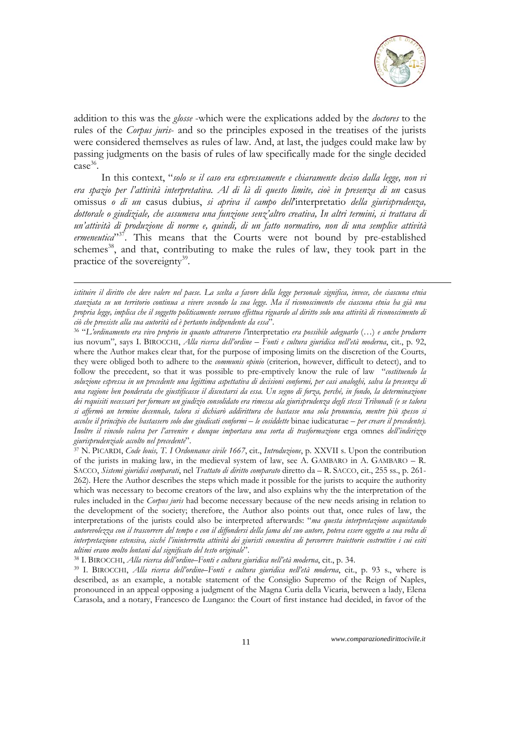

addition to this was the *glosse* -which were the explications added by the *doctores* to the rules of the *Corpus juris*- and so the principles exposed in the treatises of the jurists were considered themselves as rules of law. And, at last, the judges could make law by passing judgments on the basis of rules of law specifically made for the single decided case 36.

 In this context, "*solo se il caso era espressamente e chiaramente deciso dalla legge, non vi era spazio per l'attività interpretativa. Al di là di questo limite, cioè in presenza di un* casus omissus *o di un* casus dubius, *si apriva il campo dell*'interpretatio *della giurisprudenza, dottorale o giudiziale, che assumeva una funzione senz'altro creativa, In altri termini, si trattava di un'attività di produzione di norme e, quindi, di un fatto normativo, non di una semplice attività*  ermeneutica<sup>"37</sup>. This means that the Courts were not bound by pre-established schemes<sup>38</sup>, and that, contributing to make the rules of law, they took part in the practice of the sovereignty $39$ .

1

ius novum", says I. BIROCCHI, *Alla ricerca dell'ordine – Fonti e cultura giuridica nell'età moderna*, cit., p. 92, where the Author makes clear that, for the purpose of imposing limits on the discretion of the Courts, they were obliged both to adhere to the *communis opinio* (criterion, however, difficult to detect), and to follow the precedent, so that it was possible to pre-emptively know the rule of law "*costituendo la soluzione espressa in un precedente una legittima aspettativa di decisioni conformi, per casi analoghi, salva la presenza di una ragione ben ponderata che giustificasse il discostarsi da essa. Un segno di forza, perché, in fondo, la determinazione dei requisiti necessari per formare un giudizio consolidato era rimessa ala giurisprudenza degli stessi Tribunali (e se talora si affermò un termine decennale, talora si dichiarò addirittura che bastasse una sola pronuncia, mentre più spesso si accolse il principio che bastassero solo due giudicati conformi – le cosiddette* binae iudicaturae *– per creare il precedente). Inoltre il vincolo valeva per l'avvenire e dunque importava una sorta di trasformazione* erga omnes *dell'indirizzo* 

<sup>37</sup> N. PICARDI, *Code louis*, T. I Ordonnance civile 1667, cit., *Introduzione*, p. XXVII s. Upon the contribution of the jurists in making law, in the medieval system of law, see A. GAMBARO in A. GAMBARO – R. SACCO, *Sistemi giuridici comparati*, nel *Trattato di diritto comparato* diretto da – R. SACCO, cit., 255 ss., p. 261- 262). Here the Author describes the steps which made it possible for the jurists to acquire the authority which was necessary to become creators of the law, and also explains why the the interpretation of the rules included in the *Corpus juris* had become necessary because of the new needs arising in relation to the development of the society; therefore, the Author also points out that, once rules of law, the interpretations of the jurists could also be interpreted afterwards: "*ma questa interpretazione acquistando autorevolezza con il trascorrere del tempo e con il diffondersi della fama del suo autore, poteva essere oggetto a sua volta di interpretazione estensiva, sicché l'ininterrotta attività dei giuristi consentiva di percorrere traiettorie costruttive i cui esiti*  ultimi erano molto lontani dal significato del testo originale".<br><sup>38</sup> I. BIROCCHI, *Alla ricerca dell'ordine–Fonti e cultura giuridica nell'età moderna*, cit., p. 34.<br><sup>39</sup> I. BIROCCHI, *Alla ricerca dell'ordine–Fonti e cul* 

described, as an example, a notable statement of the Consiglio Supremo of the Reign of Naples, pronounced in an appeal opposing a judgment of the Magna Curia della Vicaria, between a lady, Elena Carasola, and a notary, Francesco de Lungano: the Court of first instance had decided, in favor of the

*istituire il diritto che deve valere nel paese. La scelta a favore della legge personale significa, invece, che ciascuna etnia stanziata su un territorio continua a vivere secondo la sua legge. Ma il riconoscimento che ciascuna etnia ha già una propria legge, implica che il soggetto politicamente sovrano effettua riguardo al diritto solo una attività di riconoscimento di ciò che preesiste alla sua autorità ed è pertanto indipendente da essa*". 36 "*L'ordinamento era vivo proprio in quanto attraverso l'*interpretatio *era possibile adeguarlo* (…) *e anche produrre*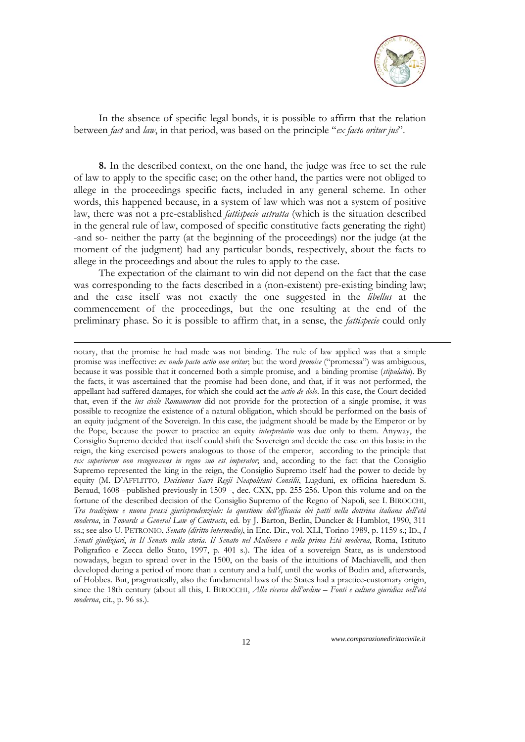

In the absence of specific legal bonds, it is possible to affirm that the relation between *fact* and *law*, in that period, was based on the principle "*ex facto oritur jus*".

**8.** In the described context, on the one hand, the judge was free to set the rule of law to apply to the specific case; on the other hand, the parties were not obliged to allege in the proceedings specific facts, included in any general scheme. In other words, this happened because, in a system of law which was not a system of positive law, there was not a pre-established *fattispecie astratta* (which is the situation described in the general rule of law, composed of specific constitutive facts generating the right) -and so- neither the party (at the beginning of the proceedings) nor the judge (at the moment of the judgment) had any particular bonds, respectively, about the facts to allege in the proceedings and about the rules to apply to the case.

The expectation of the claimant to win did not depend on the fact that the case was corresponding to the facts described in a (non-existent) pre-existing binding law; and the case itself was not exactly the one suggested in the *libellus* at the commencement of the proceedings, but the one resulting at the end of the preliminary phase. So it is possible to affirm that, in a sense, the *fattispecie* could only

1

notary, that the promise he had made was not binding. The rule of law applied was that a simple promise was ineffective: *ex nudo pacto actio non oritur*; but the word *promise* ("promessa") was ambiguous, because it was possible that it concerned both a simple promise, and a binding promise (*stipulatio*). By the facts, it was ascertained that the promise had been done, and that, if it was not performed, the appellant had suffered damages, for which she could act the *actio de dolo*. In this case, the Court decided that, even if the *ius civile Romanorum* did not provide for the protection of a single promise, it was possible to recognize the existence of a natural obligation, which should be performed on the basis of an equity judgment of the Sovereign. In this case, the judgment should be made by the Emperor or by the Pope, because the power to practice an equity *interpretatio* was due only to them. Anyway, the Consiglio Supremo decided that itself could shift the Sovereign and decide the case on this basis: in the reign, the king exercised powers analogous to those of the emperor, according to the principle that *rex superiorem non recognoscens in regno suo est imperator*; and, according to the fact that the Consiglio Supremo represented the king in the reign, the Consiglio Supremo itself had the power to decide by equity (M. D'AFFLITTO*, Decisiones Sacri Regii Neapolitani Consilii*, Lugduni, ex officina haeredum S. Beraud, 1608 –published previously in 1509 -, dec. CXX, pp. 255-256. Upon this volume and on the fortune of the described decision of the Consiglio Supremo of the Regno of Napoli, see I. BIROCCHI, *Tra tradizione e nuova prassi giurisprudenziale: la questione dell'efficacia dei patti nella dottrina italiana dell'età moderna*, in *Towards a General Law of Contracts*, ed. by J. Barton, Berlin, Duncker & Humblot, 1990, 311 ss.; see also U. PETRONIO, *Senato (diritto intermedio)*, in Enc. Dir., vol. XLI, Torino 1989, p. 1159 s.; ID., *I Senati giudiziari*, *in Il Senato nella storia. Il Senato nel Medioevo e nella prima Età moderna*, Roma, Istituto Poligrafico e Zecca dello Stato, 1997, p. 401 s.). The idea of a sovereign State, as is understood nowadays, began to spread over in the 1500, on the basis of the intuitions of Machiavelli, and then developed during a period of more than a century and a half, until the works of Bodin and, afterwards, of Hobbes. But, pragmatically, also the fundamental laws of the States had a practice-customary origin, since the 18th century (about all this, I. BIROCCHI, *Alla ricerca dell'ordine – Fonti e cultura giuridica nell'età moderna*, cit., p. 96 ss.).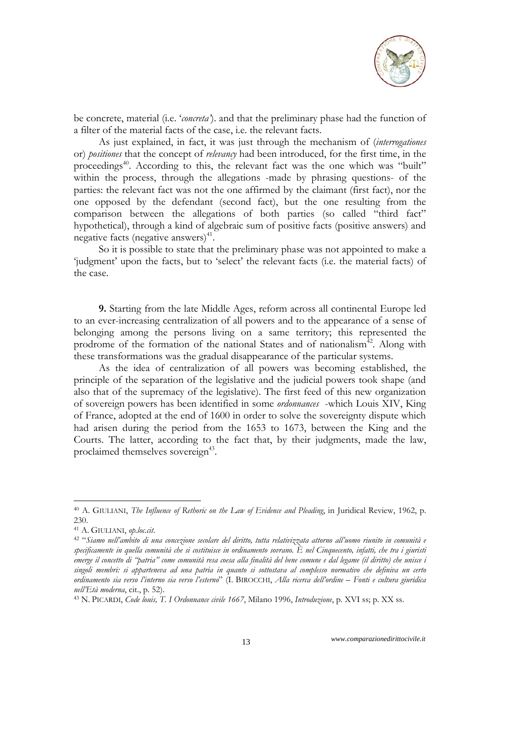

be concrete, material (i.e. '*concreta'*). and that the preliminary phase had the function of a filter of the material facts of the case, i.e. the relevant facts.

As just explained, in fact, it was just through the mechanism of (*interrogationes* or) *positiones* that the concept of *relevancy* had been introduced, for the first time, in the proceedings<sup>40</sup>. According to this, the relevant fact was the one which was "built" within the process, through the allegations -made by phrasing questions- of the parties: the relevant fact was not the one affirmed by the claimant (first fact), nor the one opposed by the defendant (second fact), but the one resulting from the comparison between the allegations of both parties (so called "third fact" hypothetical), through a kind of algebraic sum of positive facts (positive answers) and negative facts (negative answers) $41$ .

So it is possible to state that the preliminary phase was not appointed to make a 'judgment' upon the facts, but to 'select' the relevant facts (i.e. the material facts) of the case.

**9.** Starting from the late Middle Ages, reform across all continental Europe led to an ever-increasing centralization of all powers and to the appearance of a sense of belonging among the persons living on a same territory; this represented the prodrome of the formation of the national States and of nationalism<sup>42</sup>. Along with these transformations was the gradual disappearance of the particular systems.

As the idea of centralization of all powers was becoming established, the principle of the separation of the legislative and the judicial powers took shape (and also that of the supremacy of the legislative). The first feed of this new organization of sovereign powers has been identified in some *ordonnances* -which Louis XIV, King of France, adopted at the end of 1600 in order to solve the sovereignty dispute which had arisen during the period from the 1653 to 1673, between the King and the Courts. The latter, according to the fact that, by their judgments, made the law, proclaimed themselves sovereign<sup>43</sup>.

-

<sup>40</sup> A. GIULIANI, *The Influence of Rethoric on the Law of Evidence and Pleading*, in Juridical Review, 1962, p. 230.

<sup>41</sup> A. GIULIANI, *op.loc.cit*. 42 "*Siamo nell'ambito di una concezione secolare del diritto, tutta relativizzata attorno all'uomo riunito in comunità e specificamente in quella comunità che si costituisce in ordinamento sovrano. È nel Cinquecento, infatti, che tra i giuristi emerge il concetto di "patria" come comunità resa coesa alla finalità del bene comune e dal legame (il diritto) che unisce i singoli membri: si apparteneva ad una patria in quanto si sottostava al complesso normativo che definiva un certo ordinamento sia verso l'interno sia verso l'esterno*" (I. BIROCCHI, *Alla ricerca dell'ordine – Fonti e cultura giuridica nell'Età moderna*, cit., p. 52). 43 N. PICARDI, *Code louis, T. I Ordonnance civile 1667*, Milano 1996, *Introduzione*, p. XVI ss; p. XX ss.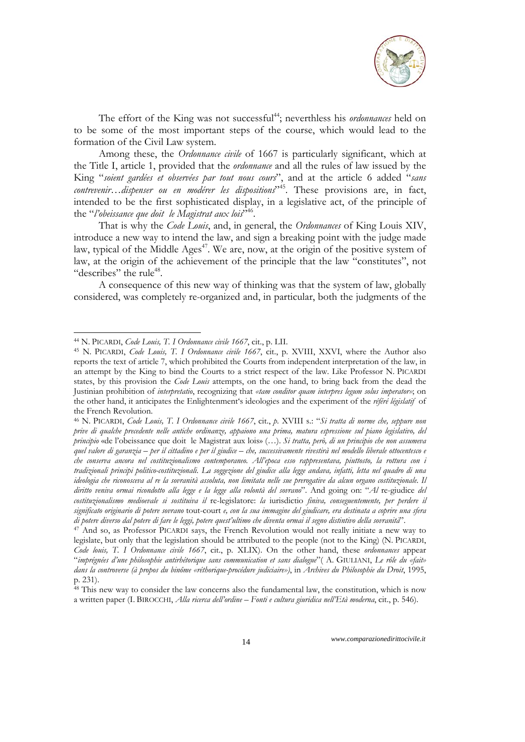

The effort of the King was not successful<sup>44</sup>; neverthless his *ordonnances* held on to be some of the most important steps of the course, which would lead to the formation of the Civil Law system.

Among these, the *Ordonnance civile* of 1667 is particularly significant, which at the Title I, article 1, provided that the *ordonnance* and all the rules of law issued by the King "*soient gardées et observées par tout nous cours*", and at the article 6 added "*sans contrevenir…dispenser ou en modérer les dispositions*"45. These provisions are, in fact, intended to be the first sophisticated display, in a legislative act, of the principle of the "*l'obeissance que doit le Magistrat aux lois*<sup>346</sup>.

That is why the *Code Louis*, and, in general, the *Ordonnances* of King Louis XIV, introduce a new way to intend the law, and sign a breaking point with the judge made law, typical of the Middle Ages<sup> $47$ </sup>. We are, now, at the origin of the positive system of law, at the origin of the achievement of the principle that the law "constitutes", not "describes" the rule $48$ .

A consequence of this new way of thinking was that the system of law, globally considered, was completely re-organized and, in particular, both the judgments of the

1

<sup>44</sup> N. PICARDI, *Code Louis, T. I Ordonnance civile 1667*, cit., p. LII. 45 N. PICARDI, *Code Louis, T. I Ordonnance civile 1667*, cit., p. XVIII, XXVI, where the Author also reports the text of article 7, which prohibited the Courts from independent interpretation of the law, in an attempt by the King to bind the Courts to a strict respect of the law. Like Professor N. PICARDI states, by this provision the *Code Louis* attempts, on the one hand, to bring back from the dead the Justinian prohibition of *interpretatio*, recognizing that *«tam conditor quam interpres legum solus imperator»*; on the other hand, it anticipates the Enlightenment's ideologies and the experiment of the *référé législatif* of the French Revolution.

<sup>46</sup> N. PICARDI, *Code Louis, T. I Ordonnance civile 1667*, cit., *p.* XVIII s.: "*Si tratta di norme che, seppure non prive di qualche precedente nelle antiche ordinanze, appaiono una prima, matura espressione sul piano legislativo, del principio* «de l'obeissance que doit le Magistrat aux lois» (…). *Si tratta, però, di un principio che non assumeva quel valore di garanzia – per il cittadino e per il giudice – che, successivamente rivestirà nel modello liberale ottocentesco e che conserva ancora nel costituzionalismo contemporaneo. All'epoca esso rappresentava, piuttosto, la rottura con i tradizionali principi politico-costituzionali. La soggezione del giudice alla legge andava, infatti, letta nel quadro di una ideologia che riconosceva al re la sovranità assoluta, non limitata nelle sue prerogative da alcun organo costituzionale. Il diritto veniva ormai ricondotto alla legge e la legge alla volontà del sovrano*". And going on: "*Al* re-giudice *del costituzionalismo medioevale si sostituiva il* re-legislatore: *la* iurisdictio *finiva, conseguentemente, per perdere il significato originario di potere sovrano* tout-court *e, con la sua immagine del giudicare, era destinata a coprire una sfera di potere diverso dal potere di fare le leggi, potere quest'ultimo che diventa ormai il segno distintivo della sovranità"*.<br><sup>47</sup> And so, as Professor PICARDI says, the French Revolution would not really initiate a new way

legislate, but only that the legislation should be attributed to the people (not to the King) (N. PICARDI, *Code louis, T. I Ordonnance civile 1667*, cit., p. XLIX). On the other hand, these *ordonnances* appear "*imprégnées d'une philosophie antirhétorique sans communication et sans dialogue*"( A. GIULIANI, *Le rôle du «fait» dans la controverse (à propos du binôme «réthorique-procédure judiciaire»)*, in *Archives du Philosophie du Droit*, 1995, p. 231).

 $48$  This new way to consider the law concerns also the fundamental law, the constitution, which is now a written paper (I. BIROCCHI, *Alla ricerca dell'ordine – Fonti e cultura giuridica nell'Età moderna*, cit., p. 546).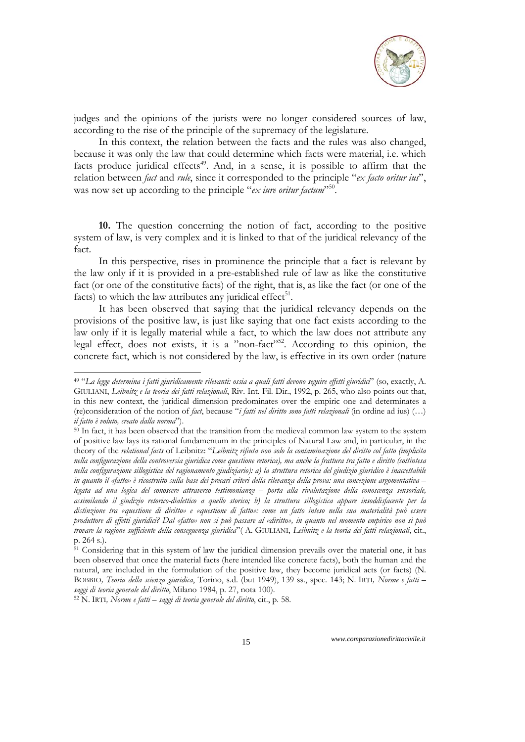

judges and the opinions of the jurists were no longer considered sources of law, according to the rise of the principle of the supremacy of the legislature.

In this context, the relation between the facts and the rules was also changed, because it was only the law that could determine which facts were material, i.e. which facts produce juridical effects<sup>49</sup>. And, in a sense, it is possible to affirm that the relation between *fact* and *rule*, since it corresponded to the principle "*ex facto oritur ius*", was now set up according to the principle "*ex iure oritur factum*"<sup>50</sup>.

**10.** The question concerning the notion of fact, according to the positive system of law, is very complex and it is linked to that of the juridical relevancy of the fact.

In this perspective, rises in prominence the principle that a fact is relevant by the law only if it is provided in a pre-established rule of law as like the constitutive fact (or one of the constitutive facts) of the right, that is, as like the fact (or one of the facts) to which the law attributes any juridical effect<sup>51</sup>.

It has been observed that saying that the juridical relevancy depends on the provisions of the positive law, is just like saying that one fact exists according to the law only if it is legally material while a fact, to which the law does not attribute any legal effect, does not exists, it is a "non-fact"<sup>52</sup>. According to this opinion, the concrete fact, which is not considered by the law, is effective in its own order (nature

1

<sup>49</sup> "*La legge determina i fatti giuridicamente rilevanti: ossia a quali fatti devono seguire effetti giuridici*" (so, exactly, A. GIULIANI, *Leibnitz e la teoria dei fatti relazionali*, Riv. Int. Fil. Dir., 1992, p. 265, who also points out that, in this new context, the juridical dimension predominates over the empiric one and determinates a (re)consideration of the notion of *fact*, because "*i fatti nel diritto sono fatti relazionali* (in ordine ad ius) (…) *il fatto è voluto, creato dalla norma*").<br><sup>50</sup> In fact, it has been observed that the transition from the medieval common law system to the system

of positive law lays its rational fundamentum in the principles of Natural Law and, in particular, in the theory of the *relational facts* of Leibnitz: "*Leibnitz rifiuta non solo la contaminazione del diritto col fatto (implicita nella configurazione della controversia giuridica come questione retorica), ma anche la frattura tra fatto e diritto (sottintesa nella configurazione sillogistica del ragionamento giudiziario): a) la struttura retorica del giudizio giuridico è inaccettabile in quanto il «fatto» è ricostruito sulla base dei precari criteri della rilevanza della prova: una concezione argomentativa – legata ad una logica del conoscere attraverso testimonianze – porta alla rivalutazione della conoscenza sensoriale, assimilando il giudizio retorico-dialettico a quello storico; b) la struttura sillogistica appare insoddisfacente per la distinzione tra «questione di diritto» e «questione di fatto»: come un fatto inteso nella sua materialità può essere produttore di effetti giuridici? Dal «fatto» non si può passare al «diritto», in quanto nel momento empirico non si può trovare la ragione sufficiente della conseguenza giuridica*"( A. GIULIANI, *Leibnitz e la teoria dei fatti relazionali*, cit., p. 264 s.).

<sup>&</sup>lt;sup>51</sup> Considering that in this system of law the juridical dimension prevails over the material one, it has been observed that once the material facts (here intended like concrete facts), both the human and the natural, are included in the formulation of the positive law, they become juridical acts (or facts) (N. BOBBIO*, Teoria della scienza giuridica*, Torino, s.d. (but 1949), 139 ss., spec. 143; N. IRTI*, Norme e fatti – saggi di teoria generale del diritto*, Milano 1984, p. 27, nota 100). 52 N. IRTI*, Norme e fatti – saggi di teoria generale del diritto*, cit., p. 58.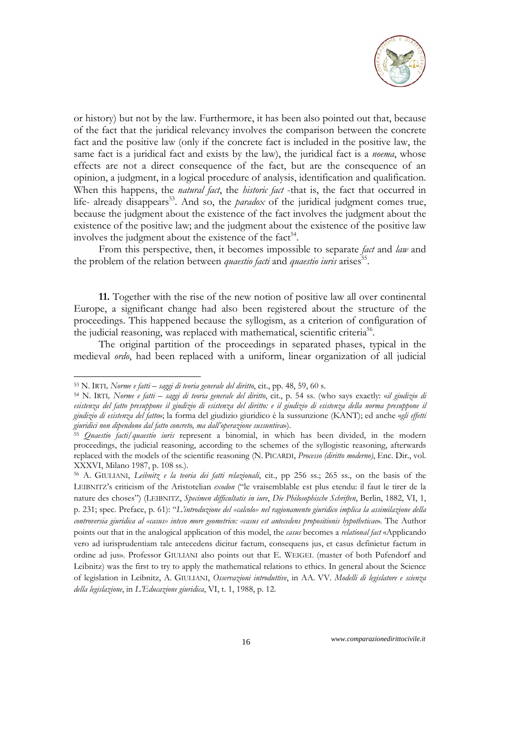

or history) but not by the law. Furthermore, it has been also pointed out that, because of the fact that the juridical relevancy involves the comparison between the concrete fact and the positive law (only if the concrete fact is included in the positive law, the same fact is a juridical fact and exists by the law), the juridical fact is a *noema*, whose effects are not a direct consequence of the fact, but are the consequence of an opinion, a judgment, in a logical procedure of analysis, identification and qualification. When this happens, the *natural fact*, the *historic fact* -that is, the fact that occurred in life- already disappears<sup>53</sup>. And so, the *paradox* of the juridical judgment comes true, because the judgment about the existence of the fact involves the judgment about the existence of the positive law; and the judgment about the existence of the positive law involves the judgment about the existence of the fact<sup>54</sup>.

From this perspective, then, it becomes impossible to separate *fact* and *law* and the problem of the relation between *quaestio facti* and *quaestio iuris* arises<sup>55</sup>.

**11.** Together with the rise of the new notion of positive law all over continental Europe, a significant change had also been registered about the structure of the proceedings. This happened because the syllogism, as a criterion of configuration of the judicial reasoning, was replaced with mathematical, scientific criteria<sup>56</sup>.

The original partition of the proceedings in separated phases, typical in the medieval *ordo*, had been replaced with a uniform, linear organization of all judicial

<sup>&</sup>lt;sup>53</sup> N. IRTI, Norme e fatti – saggi di teoria generale del diritto, cit., pp. 48, 59, 60 s.<br><sup>54</sup> N. IRTI, Norme e fatti – saggi di teoria generale del diritto, cit., p. 54 ss. (who says exactly: «il giudizio di *esistenza del fatto presuppone il giudizio di esistenza del diritto: e il giudizio di esistenza della norma presuppone il giudizio di esistenza del fatto*»; la forma del giudizio giuridico è la sussunzione (KANT); ed anche «*gli effetti* 

*giuridici non dipendono dal fatto concreto, ma dall'operazione sussuntiva*»). 55 *Quaestio facti*/*quaestio iuris* represent a binomial, in which has been divided, in the modern proceedings, the judicial reasoning, according to the schemes of the syllogistic reasoning, afterwards replaced with the models of the scientific reasoning (N. PICARDI, *Processo (diritto moderno)*, Enc. Dir., vol. XXXVI, Milano 1987, p. 108 ss.).

<sup>56</sup> A. GIULIANI, *Leibnitz e la teoria dei fatti relazionali*, cit., pp 256 ss.; 265 ss., on the basis of the LEIBNITZ's criticism of the Aristotelian *exodon* ("le vraisemblable est plus etendu: il faut le tirer de la nature des choses") (LEIBNITZ, *Specimen difficultatis in iure*, *Die Philosophische Schriften*, Berlin, 1882, VI, 1, p. 231; spec. Preface, p. 61): "*L'introduzione del «calcolo» nel ragionamento giuridico implica la assimilazione della controversia giuridica al «casus» inteso more geometrico: «casus est antecedens propositionis hypotheticae*». The Author points out that in the analogical application of this model, the *casus* becomes a *relational fact* «Applicando vero ad iurisprudentiam tale antecedens dicitur factum, consequens jus, et casus definietur factum in ordine ad jus». Professor GIULIANI also points out that E. WEIGEL (master of both Pufendorf and Leibnitz) was the first to try to apply the mathematical relations to ethics. In general about the Science of legislation in Leibnitz, A. GIULIANI, *Osservazioni introduttive*, in AA. VV. *Modelli di legislatore e scienza della legislazione*, in *L'Educazione giuridica*, VI, t. 1, 1988, p. 12.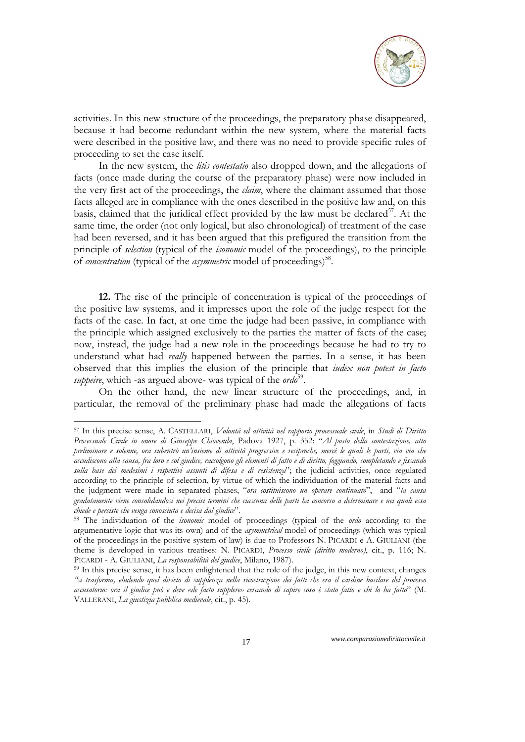

activities. In this new structure of the proceedings, the preparatory phase disappeared, because it had become redundant within the new system, where the material facts were described in the positive law, and there was no need to provide specific rules of proceeding to set the case itself.

In the new system, the *litis contestatio* also dropped down, and the allegations of facts (once made during the course of the preparatory phase) were now included in the very first act of the proceedings, the *claim*, where the claimant assumed that those facts alleged are in compliance with the ones described in the positive law and, on this basis, claimed that the juridical effect provided by the law must be declared<sup>57</sup>. At the same time, the order (not only logical, but also chronological) of treatment of the case had been reversed, and it has been argued that this prefigured the transition from the principle of *selection* (typical of the *isonomic* model of the proceedings), to the principle of *concentration* (typical of the *asymmetric* model of proceedings)<sup>58</sup>.

**12.** The rise of the principle of concentration is typical of the proceedings of the positive law systems, and it impresses upon the role of the judge respect for the facts of the case. In fact, at one time the judge had been passive, in compliance with the principle which assigned exclusively to the parties the matter of facts of the case; now, instead, the judge had a new role in the proceedings because he had to try to understand what had *really* happened between the parties. In a sense, it has been observed that this implies the elusion of the principle that *iudex non potest in facto suppeire*, which -as argued above- was typical of the *ordo*<sup>59</sup>.

On the other hand, the new linear structure of the proceedings, and, in particular, the removal of the preliminary phase had made the allegations of facts

<sup>57</sup> In this precise sense, A. CASTELLARI, *Volontà ed attività nel rapporto processuale civile*, in *Studi di Diritto Processuale Civile in onore di Giuseppe Chiovenda*, Padova 1927, p. 352: "*Al posto della contestazione, atto preliminare e solenne, ora subentrò un'insieme di attività progressive e reciproche, mercé le quali le parti, via via che accudiscono alla causa, fra loro e col giudice, raccolgono gli elementi di fatto e di diritto, foggiando, completando e fissando sulla base dei medesimi i rispettivi assunti di difesa e di resistenza*"; the judicial activities, once regulated according to the principle of selection, by virtue of which the individuation of the material facts and the judgment were made in separated phases, "*ora costituiscono un operare continuato*", and "*la causa gradatamente viene consolidandosi nei precisi termini che ciascuna delle parti ha concorso a determinare e nei quali essa chiede e persiste che venga conosciuta e decisa dal giudice*". 58 The individuation of the *isonomic* model of proceedings (typical of the *ordo* according to the

argumentative logic that was its own) and of the *asymmetrical* model of proceedings (which was typical of the proceedings in the positive system of law) is due to Professors N. PICARDI e A. GIULIANI (the theme is developed in various treatises: N. PICARDI, *Processo civile (diritto moderno)*, cit., p. 116; N. PICARDI - A. GIULIANI, *La responsabilità del giudice*, Milano, 1987). 59 In this precise sense, it has been enlightened that the role of the judge, in this new context, changes

*<sup>&</sup>quot;si trasforma, eludendo quel divieto di supplenza nella ricostruzione dei fatti che era il cardine basilare del processo accusatorio: ora il giudice può e deve «de facto supplere» cercando di capire cosa è stato fatto e chi lo ha fatto*" (M. VALLERANI, *La giustizia pubblica medievale*, cit., p. 45).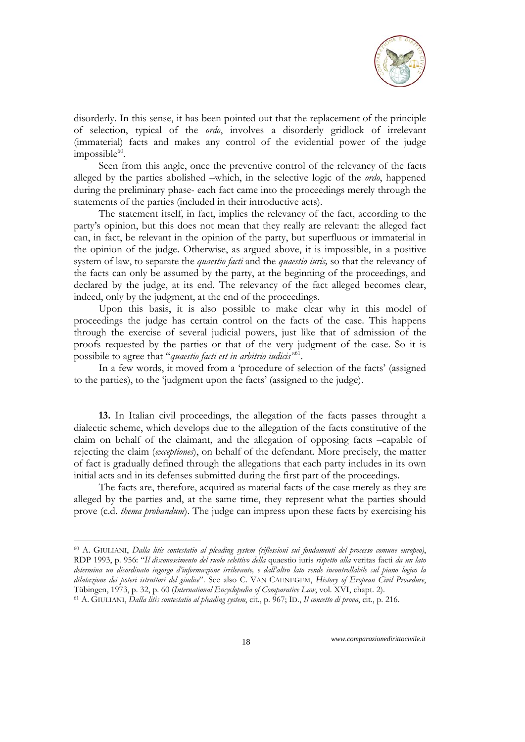

disorderly. In this sense, it has been pointed out that the replacement of the principle of selection, typical of the *ordo*, involves a disorderly gridlock of irrelevant (immaterial) facts and makes any control of the evidential power of the judge  $impossible^{60}$ .

Seen from this angle, once the preventive control of the relevancy of the facts alleged by the parties abolished –which, in the selective logic of the *ordo*, happened during the preliminary phase- each fact came into the proceedings merely through the statements of the parties (included in their introductive acts).

The statement itself, in fact, implies the relevancy of the fact, according to the party's opinion, but this does not mean that they really are relevant: the alleged fact can, in fact, be relevant in the opinion of the party, but superfluous or immaterial in the opinion of the judge. Otherwise, as argued above, it is impossible, in a positive system of law, to separate the *quaestio facti* and the *quaestio iuris,* so that the relevancy of the facts can only be assumed by the party, at the beginning of the proceedings, and declared by the judge, at its end. The relevancy of the fact alleged becomes clear, indeed, only by the judgment, at the end of the proceedings.

Upon this basis, it is also possible to make clear why in this model of proceedings the judge has certain control on the facts of the case. This happens through the exercise of several judicial powers, just like that of admission of the proofs requested by the parties or that of the very judgment of the case. So it is possibile to agree that "*quaestio facti est in arbitrio iudicis"*61.

In a few words, it moved from a 'procedure of selection of the facts' (assigned to the parties), to the 'judgment upon the facts' (assigned to the judge).

**13.** In Italian civil proceedings, the allegation of the facts passes throught a dialectic scheme, which develops due to the allegation of the facts constitutive of the claim on behalf of the claimant, and the allegation of opposing facts –capable of rejecting the claim (*exceptiones*), on behalf of the defendant. More precisely, the matter of fact is gradually defined through the allegations that each party includes in its own initial acts and in its defenses submitted during the first part of the proceedings.

The facts are, therefore, acquired as material facts of the case merely as they are alleged by the parties and, at the same time, they represent what the parties should prove (c.d. *thema probandum*). The judge can impress upon these facts by exercising his

-

<sup>60</sup> A. GIULIANI, *Dalla litis contestatio al pleading system (riflessioni sui fondamenti del processo comune europeo)*, RDP 1993, p. 956: "*Il disconoscimento del ruolo selettivo della* quaestio iuris *rispetto alla* veritas facti *da un lato determina un disordinato ingorgo d'informazione irrilevante, e dall'altro lato rende incontrollabile sul piano logico la dilatazione dei poteri istruttori del giudice*". See also C. VAN CAENEGEM, *History of Eropean Civil Procedure*, Tübingen, 1973, p. 32, p. 60 (International Encyclopedia of Comparative Law, vol. XVI, chapt. 2).<br><sup>61</sup> A. GIULIANI, *Dalla litis contestatio al pleading system*, cit., p. 967; ID., *Il concetto di prova*, cit., p. 216.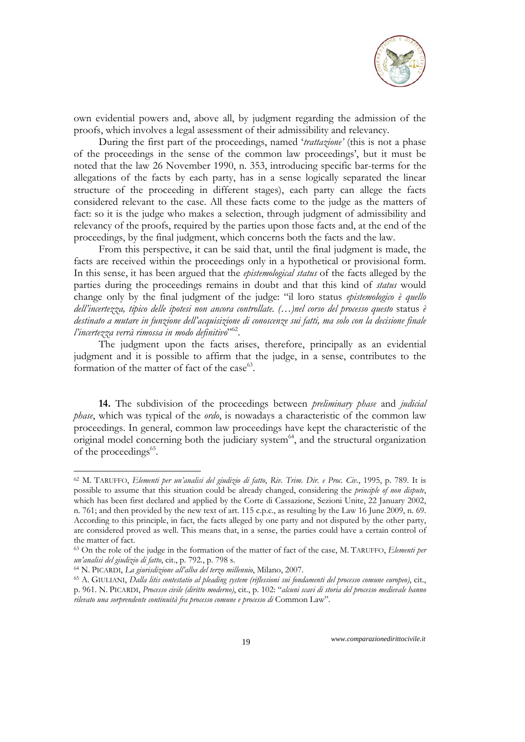

own evidential powers and, above all, by judgment regarding the admission of the proofs, which involves a legal assessment of their admissibility and relevancy.

During the first part of the proceedings, named '*trattazione'* (this is not a phase of the proceedings in the sense of the common law proceedings', but it must be noted that the law 26 November 1990, n. 353, introducing specific bar-terms for the allegations of the facts by each party, has in a sense logically separated the linear structure of the proceeding in different stages), each party can allege the facts considered relevant to the case. All these facts come to the judge as the matters of fact: so it is the judge who makes a selection, through judgment of admissibility and relevancy of the proofs, required by the parties upon those facts and, at the end of the proceedings, by the final judgment, which concerns both the facts and the law.

From this perspective, it can be said that, until the final judgment is made, the facts are received within the proceedings only in a hypothetical or provisional form. In this sense, it has been argued that the *epistemological status* of the facts alleged by the parties during the proceedings remains in doubt and that this kind of *status* would change only by the final judgment of the judge: "il loro status *epistemologico è quello dell'incertezza, tipico delle ipotesi non ancora controllate. (…)nel corso del processo questo* status *è destinato a mutare in funzione dell'acquisizione di conoscenze sui fatti, ma solo con la decisione finale l'incertezza verrà rimossa in modo definitivo*"62.

The judgment upon the facts arises, therefore, principally as an evidential judgment and it is possible to affirm that the judge, in a sense, contributes to the formation of the matter of fact of the case $^{63}$ .

**14.** The subdivision of the proceedings between *preliminary phase* and *judicial phase*, which was typical of the *ordo*, is nowadays a characteristic of the common law proceedings. In general, common law proceedings have kept the characteristic of the original model concerning both the judiciary system $64$ , and the structural organization of the proceedings<sup>65</sup>.

1

<sup>62</sup> M. TARUFFO, *Elementi per un'analisi del giudizio di fatto*, *Riv. Trim. Dir. e Proc. Civ.*, 1995, p. 789. It is possible to assume that this situation could be already changed, considering the *principle of non dispute*, which has been first declared and applied by the Corte di Cassazione, Sezioni Unite, 22 January 2002, n. 761; and then provided by the new text of art. 115 c.p.c., as resulting by the Law 16 June 2009, n. 69. According to this principle, in fact, the facts alleged by one party and not disputed by the other party, are considered proved as well. This means that, in a sense, the parties could have a certain control of the matter of fact.

<sup>63</sup> On the role of the judge in the formation of the matter of fact of the case, M. TARUFFO, *Elementi per*  un'analisi del giudizio di fatto, cit., p. 792., p. 798 s.<br><sup>64</sup> N. PICARDI, *La giurisdizione all'alba del terzo millennio*, Milano, 2007.<br><sup>65</sup> A. GIULIANI, *Dalla litis contestatio al pleading system (riflessioni sui fond* 

p. 961. N. PICARDI, *Processo civile (diritto moderno)*, cit., p. 102: "*alcuni scavi di storia del processo medievale hanno rilevato una sorprendente continuità fra processo comune e processo di* Common Law".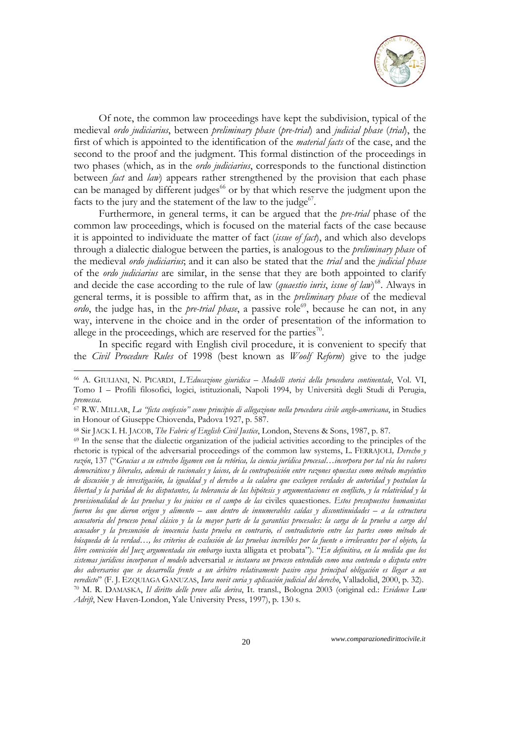

Of note, the common law proceedings have kept the subdivision, typical of the medieval *ordo judiciarius*, between *preliminary phase* (*pre-trial*) and *judicial phase* (*trial*), the first of which is appointed to the identification of the *material facts* of the case, and the second to the proof and the judgment. This formal distinction of the proceedings in two phases (which, as in the *ordo judiciarius*, corresponds to the functional distinction between *fact* and *law*) appears rather strengthened by the provision that each phase can be managed by different judges<sup>66</sup> or by that which reserve the judgment upon the facts to the jury and the statement of the law to the judge $67$ .

Furthermore, in general terms, it can be argued that the *pre-trial* phase of the common law proceedings, which is focused on the material facts of the case because it is appointed to individuate the matter of fact (*issue of fact*), and which also develops through a dialectic dialogue between the parties, is analogous to the *preliminary phase* of the medieval *ordo judiciarius*; and it can also be stated that the *trial* and the *judicial phase*  of the *ordo judiciarius* are similar, in the sense that they are both appointed to clarify and decide the case according to the rule of law (*quaestio iuris*, *issue of law*) 68. Always in general terms, it is possible to affirm that, as in the *preliminary phase* of the medieval *ordo*, the judge has, in the *pre-trial phase*, a passive role<sup>69</sup>, because he can not, in any way, intervene in the choice and in the order of presentation of the information to allege in the proceedings, which are reserved for the parties<sup>70</sup>.

In specific regard with English civil procedure, it is convenient to specify that the *Civil Procedure Rules* of 1998 (best known as *Woolf Reform*) give to the judge

<sup>66</sup> A. GIULIANI, N. PICARDI, *L'Educazione giuridica – Modelli storici della procedura continentale*, Vol. VI, Tomo I – Profili filosofici, logici, istituzionali, Napoli 1994, by Università degli Studi di Perugia,

*premessa*. 67 R.W. MILLAR, *La "ficta confessio" come principio di allegazione nella procedura civile anglo-americana*, in Studies in Honour of Giuseppe Chiovenda, Padova 1927, p. 587.

<sup>&</sup>lt;sup>68</sup> Sir JACK I. H. JACOB, *The Fabric of English Civil Justice*, London, Stevens & Sons, 1987, p. 87. <sup>69</sup> In the sense that the dialectic organization of the judicial activities according to the principles of the

rhetoric is typical of the adversarial proceedings of the common law systems, L. FERRAJOLI*, Derecho y razón*, 137 ("*Gracias a su estrecho ligamen con la retórica, la ciencia jurídica procesal…incorpora por tal vía los valores democráticos y liberales, además de racionales y laicos, de la contraposición entre razones opuestas como método mayéutico de discusión y de investigación, la igualdad y el derecho a la calabra que excluyen verdades de autoridad y postulan la libertad y la paridad de los disputantes, la tolerancia de las hipótesis y argumentaciones en conflicto, y la relatividad y la provisionalidad de las pruebas y los juicios en el campo de las* civiles quaestiones. *Estos presupuestos humanistas fueron los que dieron origen y alimento – aun dentro de innumerables caídas y discontinuidades – a la estructura acusatoria del proceso penal clásico y la la mayor parte de la garantías procesales: la carga de la prueba a cargo del acusador y la presunción de inocencia hasta prueba en contrario, el contradictorio entre las partes como método de búsqueda de la verdad…, los criterios de exclusión de las pruebas increíbles por la fuente o irrelevantes por el objeto, la libre convicción del Juez argumentada sin embargo* iuxta alligata et probata"). "*En definitiva, en la medida que los sistemas jurídicos incorporan el modelo* adversarial *se instaura un proceso entendido como una contenda o disputa entre dos adversarios que se desarrolla frente a un árbitro relativamente pasivo cuya principal obligación es llegar a un*  veredicto" (F. J. EZQUIAGA GANUZAS, Iura novit curia y aplicación judicial del derecho, Valladolid, 2000, p. 32).<br><sup>70</sup> M. R. DAMASKA, Il diritto delle prove alla deriva, It. transl., Bologna 2003 (original ed.: *Evidence L Adrift*, New Haven-London, Yale University Press, 1997), p. 130 s.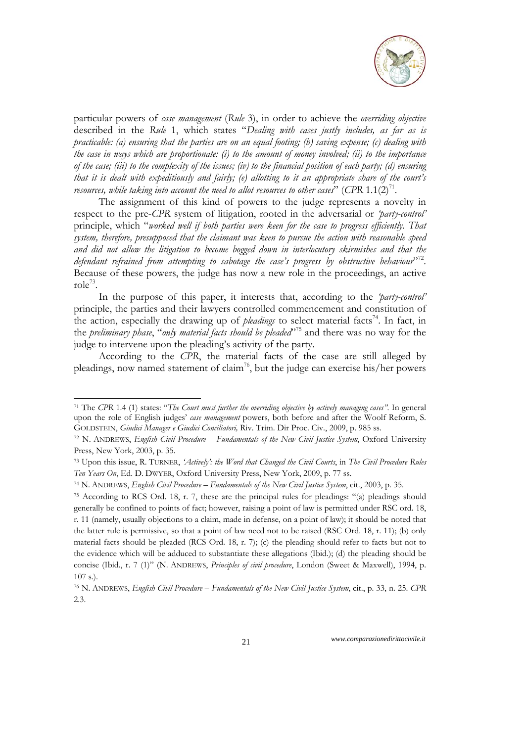

particular powers of *case management* (*Rule* 3), in order to achieve the *overriding objective*  described in the *Rule* 1, which states "*Dealing with cases justly includes, as far as is practicable: (a) ensuring that the parties are on an equal footing; (b) saving expense; (c) dealing with the case in ways which are proportionate: (i) to the amount of money involved; (ii) to the importance of the case; (iii) to the complexity of the issues; (iv) to the financial position of each party; (d) ensuring that it is dealt with expeditiously and fairly; (e) allotting to it an appropriate share of the court's resources, while taking into account the need to allot resources to other cases*" (*CPR*  $1.1(2)^{71}$ .

The assignment of this kind of powers to the judge represents a novelty in respect to the pre-*CPR* system of litigation, rooted in the adversarial or *'party-control'*  principle, which "*worked well if both parties were keen for the case to progress efficiently. That system, therefore, presupposed that the claimant was keen to pursue the action with reasonable speed and did not allow the litigation to become bogged down in interlocutory skirmishes and that the*  defendant refrained from attempting to sabotage the case's progress by obstructive behaviour<sup>372</sup>. Because of these powers, the judge has now a new role in the proceedings, an active role $73$ .

In the purpose of this paper, it interests that, according to the *'party-control'*  principle, the parties and their lawyers controlled commencement and constitution of the action, especially the drawing up of *pleadings* to select material facts<sup>74</sup>. In fact, in the *preliminary phase*, "*only material facts should be pleaded*"75 and there was no way for the judge to intervene upon the pleading's activity of the party.

According to the *CPR*, the material facts of the case are still alleged by pleadings, now named statement of claim<sup>76</sup>, but the judge can exercise his/her powers

1

<sup>71</sup> The *CPR* 1.4 (1) states: "*The Court must further the overriding objective by actively managing cases".* In general upon the role of English judges' *case management* powers, both before and after the Woolf Reform, S. GOLDSTEIN, *Giudici Manager e Giudici Conciliatori,* Riv. Trim. Dir Proc. Civ., 2009, p. 985 ss.

<sup>72</sup> N. ANDREWS, *English Civil Procedure – Fundamentals of the New Civil Justice System*, Oxford University Press, New York, 2003, p. 35.

<sup>73</sup> Upon this issue, R. TURNER, *'Actively': the Word that Changed the Civil Courts*, in *The Civil Procedure Rules Ten Years On*, Ed. D. DWYER, Oxford University Press, New York, 2009, p. 77 ss.

<sup>74</sup> N. ANDREWS, *English Civil Procedure – Fundamentals of the New Civil Justice System*, cit., 2003, p. 35.

<sup>75</sup> According to RCS Ord. 18, r. 7, these are the principal rules for pleadings: "(a) pleadings should generally be confined to points of fact; however, raising a point of law is permitted under RSC ord. 18, r. 11 (namely, usually objections to a claim, made in defense, on a point of law); it should be noted that the latter rule is permissive, so that a point of law need not to be raised (RSC Ord. 18, r. 11); (b) only material facts should be pleaded (RCS Ord. 18, r. 7); (c) the pleading should refer to facts but not to the evidence which will be adduced to substantiate these allegations (Ibid.); (d) the pleading should be concise (Ibid., r. 7 (1)" (N. ANDREWS, *Principles of civil procedure*, London (Sweet & Maxwell), 1994, p. 107 s.).

<sup>76</sup> N. ANDREWS, *English Civil Procedure – Fundamentals of the New Civil Justice System*, cit., p. 33, n. 25. *CPR*  2.3.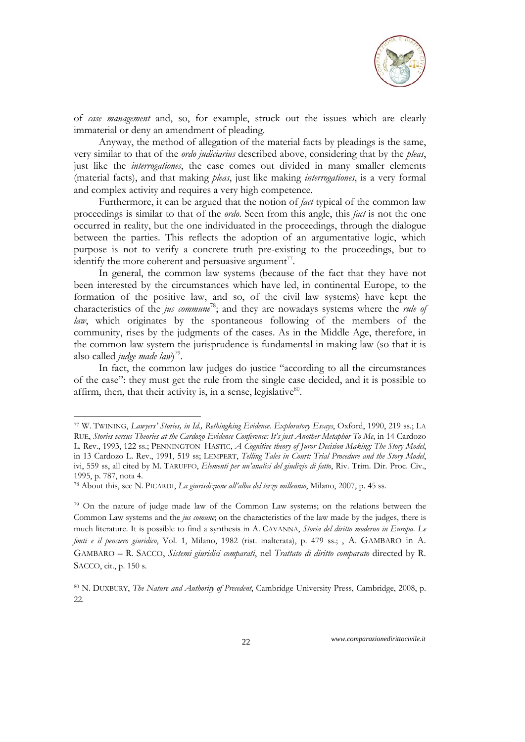

of *case management* and, so, for example, struck out the issues which are clearly immaterial or deny an amendment of pleading.

Anyway, the method of allegation of the material facts by pleadings is the same, very similar to that of the *ordo judiciarius* described above, considering that by the *pleas*, just like the *interrogationes*, the case comes out divided in many smaller elements (material facts), and that making *pleas*, just like making *interrogationes*, is a very formal and complex activity and requires a very high competence.

Furthermore, it can be argued that the notion of *fact* typical of the common law proceedings is similar to that of the *ordo*. Seen from this angle, this *fact* is not the one occurred in reality, but the one individuated in the proceedings, through the dialogue between the parties. This reflects the adoption of an argumentative logic, which purpose is not to verify a concrete truth pre-existing to the proceedings, but to identify the more coherent and persuasive argument<sup>77</sup>.

In general, the common law systems (because of the fact that they have not been interested by the circumstances which have led, in continental Europe, to the formation of the positive law, and so, of the civil law systems) have kept the characteristics of the *jus commune*78; and they are nowadays systems where the *rule of law*, which originates by the spontaneous following of the members of the community, rises by the judgments of the cases. As in the Middle Age, therefore, in the common law system the jurisprudence is fundamental in making law (so that it is also called *judge made law*) 79.

In fact, the common law judges do justice "according to all the circumstances of the case": they must get the rule from the single case decided, and it is possible to affirm, then, that their activity is, in a sense, legislative $80$ .

1

<sup>77</sup> W. TWINING, *Lawyers' Stories, in Id., Rethingking Evidence. Exploratory Essays*, Oxford, 1990, 219 ss.; LA RUE, *Stories versus Theories at the Cardozo Evidence Conference: It's just Another Metaphor To Me*, in 14 Cardozo L. Rev., 1993, 122 ss.; PENNINGTON HASTIC, *A Cognitive theory of Juror Decision Making: The Story Model*, in 13 Cardozo L. Rev., 1991, 519 ss; LEMPERT, *Telling Tales in Court: Trial Procedure and the Story Model*, ivi, 559 ss, all cited by M. TARUFFO, *Elementi per un'analisi del giudizio di fatto*, Riv. Trim. Dir. Proc. Civ., 1995, p. 787, nota 4.

<sup>78</sup> About this, see N. PICARDI, *La giurisdizione all'alba del terzo millennio*, Milano, 2007, p. 45 ss.

<sup>79</sup> On the nature of judge made law of the Common Law systems; on the relations between the Common Law systems and the *jus comune*; on the characteristics of the law made by the judges, there is much literature. It is possible to find a synthesis in A. CAVANNA, *Storia del diritto moderno in Europa. Le fonti e il pensiero giuridico*, Vol. 1, Milano, 1982 (rist. inalterata), p. 479 ss.; , A. GAMBARO in A. GAMBARO – R. SACCO, *Sistemi giuridici comparati*, nel *Trattato di diritto comparato* directed by R. SACCO, cit., p. 150 s.

<sup>80</sup> N. DUXBURY, *The Nature and Authority of Precedent*, Cambridge University Press, Cambridge, 2008, p. 22.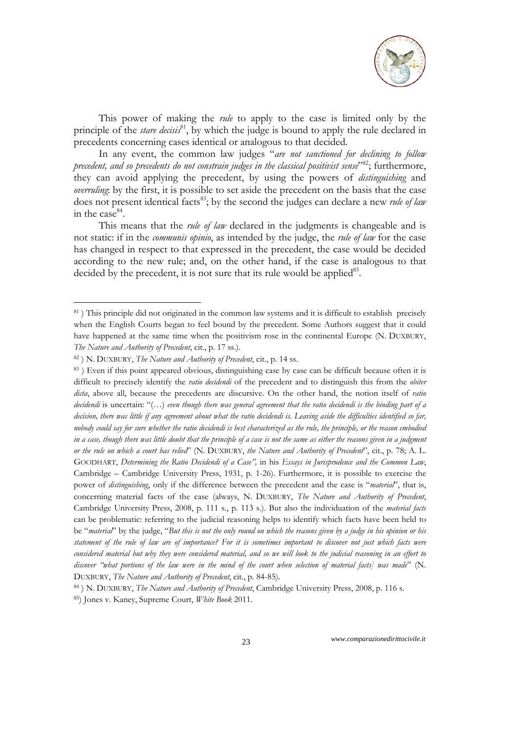

This power of making the *rule* to apply to the case is limited only by the principle of the *stare decisis*<sup>81</sup>, by which the judge is bound to apply the rule declared in precedents concerning cases identical or analogous to that decided.

In any event, the common law judges "*are not sanctioned for declining to follow precedent, and so precedents do not constrain judges in the classical positivist sense*<sup>382</sup>; furthermore, they can avoid applying the precedent, by using the powers of *distinguishing* and *overruling*: by the first, it is possible to set aside the precedent on the basis that the case does not present identical facts<sup>83</sup>; by the second the judges can declare a new *rule of law* in the case<sup>84</sup>.

This means that the *rule of law* declared in the judgments is changeable and is not static: if in the *communis opinio*, as intended by the judge, the *rule of law* for the case has changed in respect to that expressed in the precedent, the case would be decided according to the new rule; and, on the other hand, if the case is analogous to that decided by the precedent, it is not sure that its rule would be applied<sup>85</sup>.

1

<sup>&</sup>lt;sup>81</sup>) This principle did not originated in the common law systems and it is difficult to establish precisely when the English Courts began to feel bound by the precedent. Some Authors suggest that it could have happened at the same time when the positivism rose in the continental Europe (N. DUXBURY, *The Nature and Authority of Precedent*, cit., p. 17 ss.).

<sup>82 )</sup> N. DUXBURY, *The Nature and Authority of Precedent*, cit., p. 14 ss.

<sup>83)</sup> Even if this point appeared obvious, distinguishing case by case can be difficult because often it is difficult to precisely identify the *ratio decidendi* of the precedent and to distinguish this from the *obiter dicta*, above all, because the precedents are discursive. On the other hand, the notion itself of *ratio decidendi* is uncertain: "(…) *even though there was general agreement that the ratio decidendi is the binding part of a decision, there was little if any agreement about what the ratio decidendi is. Leaving aside the difficulties identified so far, nobody could say for sure whether the ratio decidendi is best characterized as the rule, the principle, or the reason embodied in a case, though there was little doubt that the principle of a case is not the same as either the reasons given in a judgment or the rule on which a court has relied*" (N. DUXBURY, *the Nature and Authority of Precedent*", cit., p. 78; A. L. GOODHART, *Determining the Ratio Decidendi of a Case",* in his *Essays in Jurisprudence and the Common Law*, Cambridge – Cambridge University Press, 1931, p. 1-26). Furthermore, it is possible to exercise the power of *distinguishing*, only if the difference between the precedent and the case is "*material*", that is, concerning material facts of the case (always, N. DUXBURY, *The Nature and Authority of Precedent*, Cambridge University Press, 2008, p. 111 s., p. 113 s.). But also the individuation of the *material facts* can be problematic: referring to the judicial reasoning helps to identify which facts have been held to be "*material*" by the judge, "*But this is not the only round on which the reasons given by a judge in his opinion or his statement of the rule of law are of importance? For it is sometimes important to discover not just which facts were considered material but why they were considered material, and so we will look to the judicial reasoning in an effort to discover "what portions of the law were in the mind of the court when selection of material facts] was made*" (N. DUXBURY, *The Nature and Authority of Precedent*, cit., p. 84-85).

<sup>84 )</sup> N. DUXBURY, *The Nature and Authority of Precedent*, Cambridge University Press, 2008, p. 116 s. 85) Jones v. Kaney, Supreme Court, *White Book* 2011.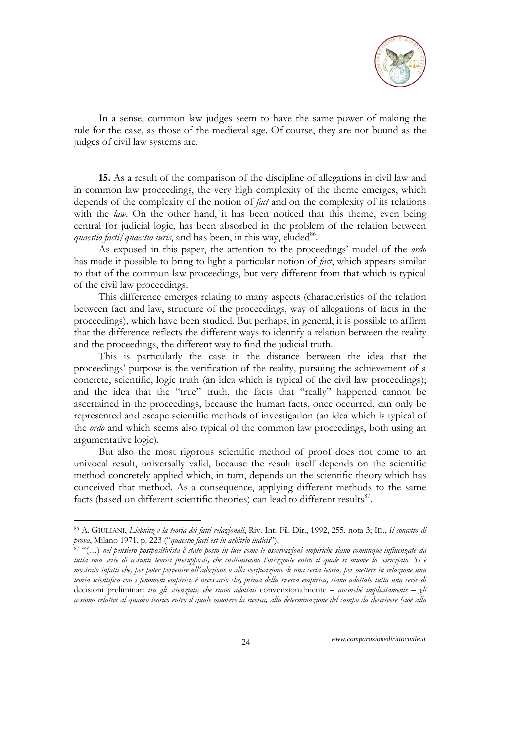

In a sense, common law judges seem to have the same power of making the rule for the case, as those of the medieval age. Of course, they are not bound as the judges of civil law systems are.

**15.** As a result of the comparison of the discipline of allegations in civil law and in common law proceedings, the very high complexity of the theme emerges, which depends of the complexity of the notion of *fact* and on the complexity of its relations with the *law*. On the other hand, it has been noticed that this theme, even being central for judicial logic, has been absorbed in the problem of the relation between *quaestio facti/quaestio iuris*, and has been, in this way, eluded<sup>86</sup>.

As exposed in this paper, the attention to the proceedings' model of the *ordo* has made it possible to bring to light a particular notion of *fact*, which appears similar to that of the common law proceedings, but very different from that which is typical of the civil law proceedings.

This difference emerges relating to many aspects (characteristics of the relation between fact and law, structure of the proceedings, way of allegations of facts in the proceedings), which have been studied. But perhaps, in general, it is possible to affirm that the difference reflects the different ways to identify a relation between the reality and the proceedings, the different way to find the judicial truth.

This is particularly the case in the distance between the idea that the proceedings' purpose is the verification of the reality, pursuing the achievement of a concrete, scientific, logic truth (an idea which is typical of the civil law proceedings); and the idea that the "true" truth, the facts that "really" happened cannot be ascertained in the proceedings, because the human facts, once occurred, can only be represented and escape scientific methods of investigation (an idea which is typical of the *ordo* and which seems also typical of the common law proceedings, both using an argumentative logic).

But also the most rigorous scientific method of proof does not come to an univocal result, universally valid, because the result itself depends on the scientific method concretely applied which, in turn, depends on the scientific theory which has conceived that method. As a consequence, applying different methods to the same facts (based on different scientific theories) can lead to different results<sup>87</sup>.

-

<sup>86</sup> A. GIULIANI, *Liebnitz e la teoria dei fatti relazionali*, Riv. Int. Fil. Dir., 1992, 255, nota 3; ID., *Il concetto di* 

<sup>&</sup>lt;sup>87</sup> "(…) nel pensiero postpositivista è stato posto in luce come le osservazioni empiriche siano comunque influenzate da *tutta una serie di assunti teorici presupposti, che costituiscono l'orizzonte entro il quale si muove lo scienziato. Si è mostrato infatti che, per poter pervenire all'adozione o alla verificazione di una certa teoria, per mettere in relazione una teoria scientifica con i fenomeni empirici, è necessario che, prima della ricerca empirica, siano adottate tutta una serie di*  decisioni preliminari *tra gli scienziati; che siano adottati* convenzionalmente *– ancorché implicitamente – gli assiomi relativi al quadro teorico entro il quale muovere la ricerca, alla determinazione del campo da descrivere (cioè alla*